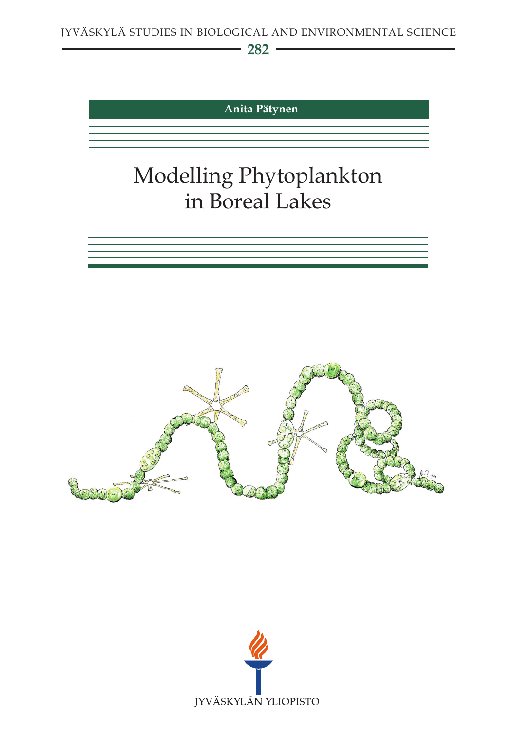**282**

**Anita Pätynen**

# Modelling Phytoplankton in Boreal Lakes





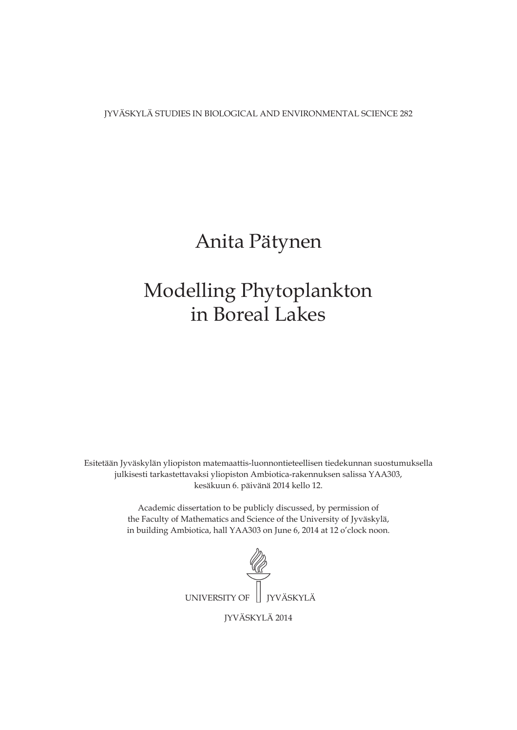JYVÄSKYLÄ STUDIES IN BIOLOGICAL AND ENVIRONMENTAL SCIENCE 282

# Anita Pätynen

# Modelling Phytoplankton in Boreal Lakes

Esitetään Jyväskylän yliopiston matemaattis-luonnontieteellisen tiedekunnan suostumuksella julkisesti tarkastettavaksi yliopiston Ambiotica-rakennuksen salissa YAA303, kesäkuun 6. päivänä 2014 kello 12.

> Academic dissertation to be publicly discussed, by permission of the Faculty of Mathematics and Science of the University of Jyväskylä, in building Ambiotica, hall YAA303 on June 6, 2014 at 12 o'clock noon.



JYVÄSKYLÄ 2014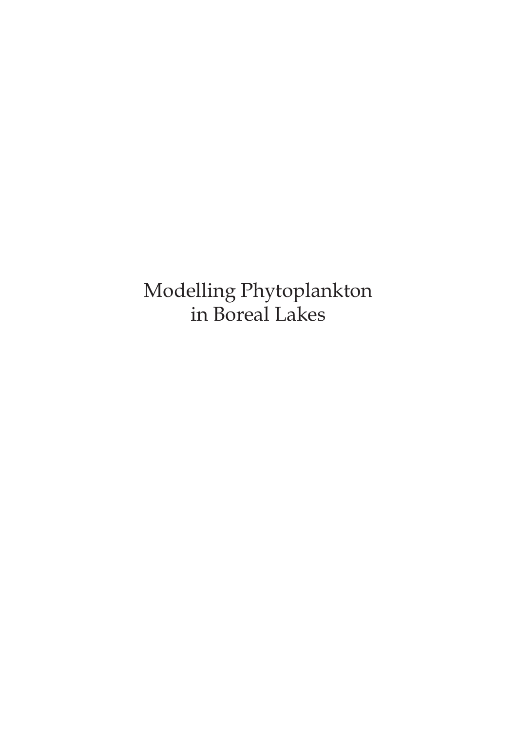Modelling Phytoplankton in Boreal Lakes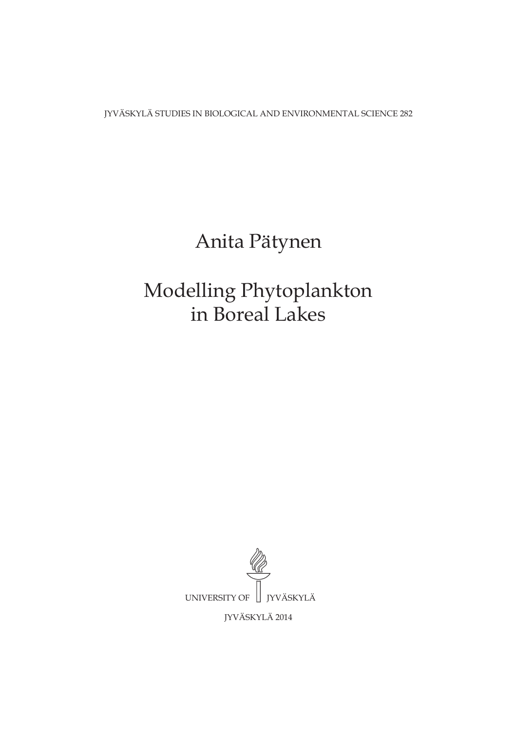JYVÄSKYLÄ STUDIES IN BIOLOGICAL AND ENVIRONMENTAL SCIENCE 282

# Anita Pätynen

# Modelling Phytoplankton in Boreal Lakes

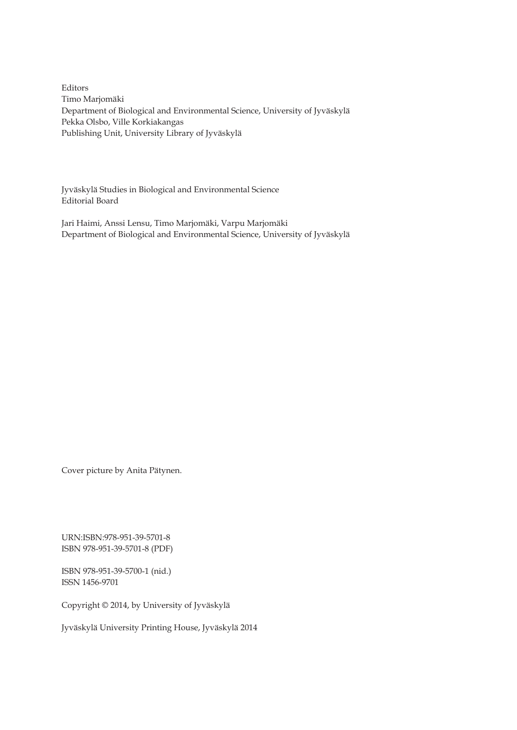Editors Timo Marjomäki Department of Biological and Environmental Science, University of Jyväskylä Pekka Olsbo, Ville Korkiakangas Publishing Unit, University Library of Jyväskylä

Jyväskylä Studies in Biological and Environmental Science Editorial Board

Jari Haimi, Anssi Lensu, Timo Marjomäki, Varpu Marjomäki Department of Biological and Environmental Science, University of Jyväskylä

Cover picture by Anita Pätynen.

URN:ISBN:978-951-39-5701-8 ISBN 978-951-39-5701-8 (PDF)

ISBN 978-951-39-5700-1 (nid.) ISSN 1456-9701

Copyright © 2014, by University of Jyväskylä

Jyväskylä University Printing House, Jyväskylä 2014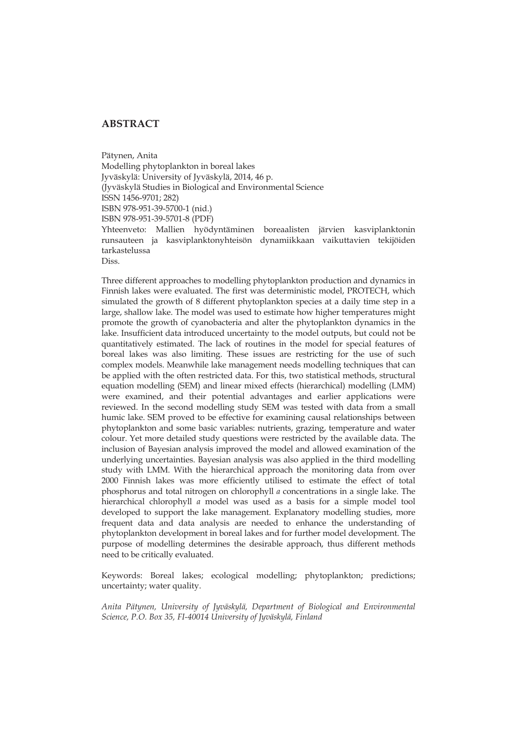## **ABSTRACT**

Pätynen, Anita Modelling phytoplankton in boreal lakes Jyväskylä: University of Jyväskylä, 2014, 46 p. (Jyväskylä Studies in Biological and Environmental Science ISSN 1456-9701; 282) ISBN 978-951-39-5700-1 (nid.) ISBN 978-951-39-5701-8 (PDF) Yhteenveto: Mallien hyödyntäminen boreaalisten järvien kasviplanktonin runsauteen ja kasviplanktonyhteisön dynamiikkaan vaikuttavien tekijöiden tarkastelussa Diss.

Three different approaches to modelling phytoplankton production and dynamics in Finnish lakes were evaluated. The first was deterministic model, PROTECH, which simulated the growth of 8 different phytoplankton species at a daily time step in a large, shallow lake. The model was used to estimate how higher temperatures might promote the growth of cyanobacteria and alter the phytoplankton dynamics in the lake. Insufficient data introduced uncertainty to the model outputs, but could not be quantitatively estimated. The lack of routines in the model for special features of boreal lakes was also limiting. These issues are restricting for the use of such complex models. Meanwhile lake management needs modelling techniques that can be applied with the often restricted data. For this, two statistical methods, structural equation modelling (SEM) and linear mixed effects (hierarchical) modelling (LMM) were examined, and their potential advantages and earlier applications were reviewed. In the second modelling study SEM was tested with data from a small humic lake. SEM proved to be effective for examining causal relationships between phytoplankton and some basic variables: nutrients, grazing, temperature and water colour. Yet more detailed study questions were restricted by the available data. The inclusion of Bayesian analysis improved the model and allowed examination of the underlying uncertainties. Bayesian analysis was also applied in the third modelling study with LMM. With the hierarchical approach the monitoring data from over 2000 Finnish lakes was more efficiently utilised to estimate the effect of total phosphorus and total nitrogen on chlorophyll *a* concentrations in a single lake. The hierarchical chlorophyll *a* model was used as a basis for a simple model tool developed to support the lake management. Explanatory modelling studies, more frequent data and data analysis are needed to enhance the understanding of phytoplankton development in boreal lakes and for further model development. The purpose of modelling determines the desirable approach, thus different methods need to be critically evaluated.

Keywords: Boreal lakes; ecological modelling; phytoplankton; predictions; uncertainty; water quality.

*Anita Pätynen, University of Jyväskylä, Department of Biological and Environmental Science, P.O. Box 35, FI-40014 University of Jyväskylä, Finland*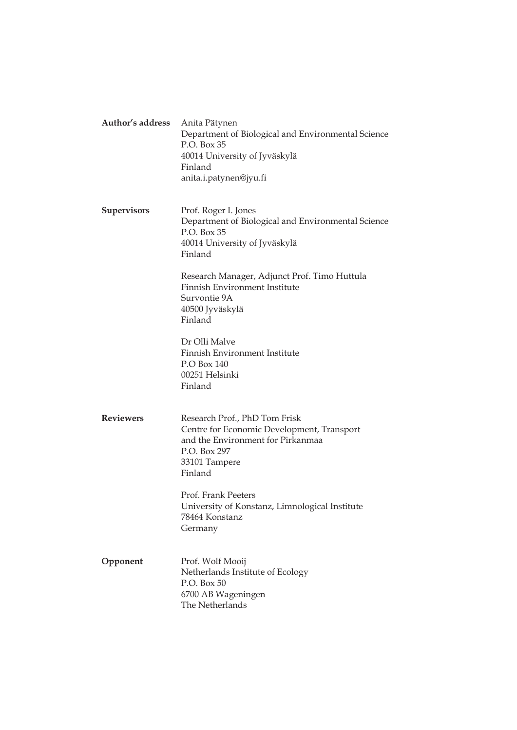| Author's address   | Anita Pätynen<br>Department of Biological and Environmental Science<br>P.O. Box 35<br>40014 University of Jyväskylä<br>Finland<br>anita.i.patynen@jyu.fi     |  |
|--------------------|--------------------------------------------------------------------------------------------------------------------------------------------------------------|--|
| <b>Supervisors</b> | Prof. Roger I. Jones<br>Department of Biological and Environmental Science<br>P.O. Box 35<br>40014 University of Jyväskylä<br>Finland                        |  |
|                    | Research Manager, Adjunct Prof. Timo Huttula<br>Finnish Environment Institute<br>Survontie 9A<br>40500 Jyväskylä<br>Finland                                  |  |
|                    | Dr Olli Malve<br>Finnish Environment Institute<br>$P.O$ Box 140<br>00251 Helsinki<br>Finland                                                                 |  |
| <b>Reviewers</b>   | Research Prof., PhD Tom Frisk<br>Centre for Economic Development, Transport<br>and the Environment for Pirkanmaa<br>P.O. Box 297<br>33101 Tampere<br>Finland |  |
|                    | Prof. Frank Peeters<br>University of Konstanz, Limnological Institute<br>78464 Konstanz<br>Germany                                                           |  |
| Opponent           | Prof. Wolf Mooij<br>Netherlands Institute of Ecology<br>P.O. Box 50<br>6700 AB Wageningen<br>The Netherlands                                                 |  |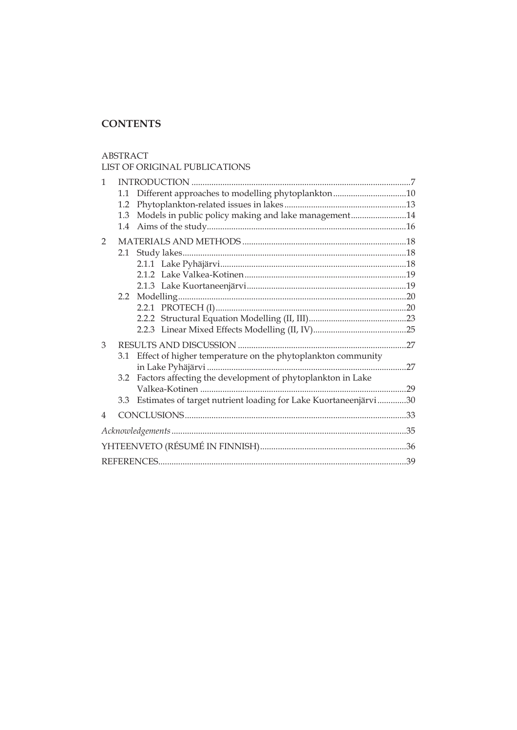# **CONTENTS**

#### ABSTRACT

## LIST OF ORIGINAL PUBLICATIONS

| 1              |               |                                                                 |     |  |
|----------------|---------------|-----------------------------------------------------------------|-----|--|
|                | 1.1           | Different approaches to modelling phytoplankton10               |     |  |
|                | 1.2           |                                                                 |     |  |
|                | 1.3           | Models in public policy making and lake management14            |     |  |
|                | 1.4           |                                                                 |     |  |
| 2              |               |                                                                 |     |  |
|                | 2.1           |                                                                 |     |  |
|                |               |                                                                 |     |  |
|                |               |                                                                 |     |  |
|                |               |                                                                 |     |  |
|                | $2.2^{\circ}$ |                                                                 |     |  |
|                |               |                                                                 |     |  |
|                |               |                                                                 |     |  |
|                |               |                                                                 |     |  |
| 3              |               |                                                                 |     |  |
|                | 3.1           | Effect of higher temperature on the phytoplankton community     |     |  |
|                |               |                                                                 |     |  |
|                |               | 3.2 Factors affecting the development of phytoplankton in Lake  |     |  |
|                |               |                                                                 | .29 |  |
|                | 3.3           | Estimates of target nutrient loading for Lake Kuortaneenjärvi30 |     |  |
| $\overline{4}$ |               |                                                                 |     |  |
|                |               |                                                                 |     |  |
|                |               |                                                                 |     |  |
|                |               |                                                                 |     |  |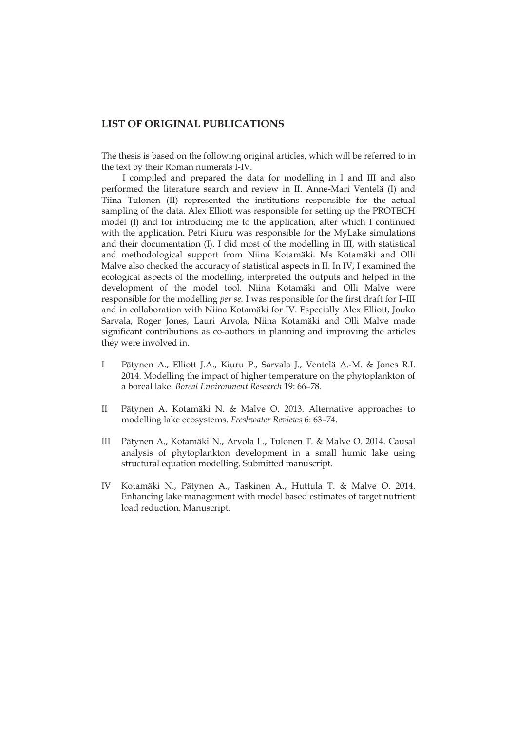### **LIST OF ORIGINAL PUBLICATIONS**

The thesis is based on the following original articles, which will be referred to in the text by their Roman numerals I-IV.

I compiled and prepared the data for modelling in I and III and also performed the literature search and review in II. Anne-Mari Ventelä (I) and Tiina Tulonen (II) represented the institutions responsible for the actual sampling of the data. Alex Elliott was responsible for setting up the PROTECH model (I) and for introducing me to the application, after which I continued with the application. Petri Kiuru was responsible for the MyLake simulations and their documentation (I). I did most of the modelling in III, with statistical and methodological support from Niina Kotamäki. Ms Kotamäki and Olli Malve also checked the accuracy of statistical aspects in II. In IV, I examined the ecological aspects of the modelling, interpreted the outputs and helped in the development of the model tool. Niina Kotamäki and Olli Malve were responsible for the modelling *per se*. I was responsible for the first draft for I–III and in collaboration with Niina Kotamäki for IV. Especially Alex Elliott, Jouko Sarvala, Roger Jones, Lauri Arvola, Niina Kotamäki and Olli Malve made significant contributions as co-authors in planning and improving the articles they were involved in.

- I Pätynen A., Elliott J.A., Kiuru P., Sarvala J., Ventelä A.-M. & Jones R.I. 2014. Modelling the impact of higher temperature on the phytoplankton of a boreal lake. *Boreal Environment Research* 19: 66–78.
- II Pätynen A. Kotamäki N. & Malve O. 2013. Alternative approaches to modelling lake ecosystems. *Freshwater Reviews* 6: 63–74.
- III Pätynen A., Kotamäki N., Arvola L., Tulonen T. & Malve O. 2014. Causal analysis of phytoplankton development in a small humic lake using structural equation modelling. Submitted manuscript.
- IV Kotamäki N., Pätynen A., Taskinen A., Huttula T. & Malve O. 2014. Enhancing lake management with model based estimates of target nutrient load reduction. Manuscript.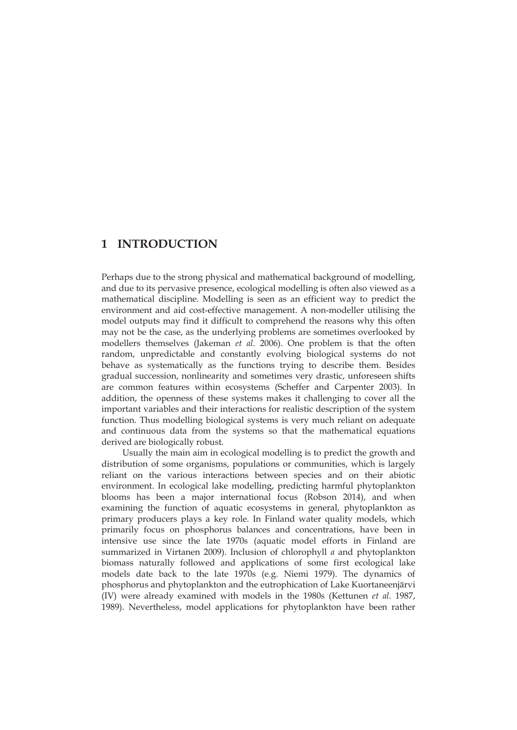# **1 INTRODUCTION**

Perhaps due to the strong physical and mathematical background of modelling, and due to its pervasive presence, ecological modelling is often also viewed as a mathematical discipline. Modelling is seen as an efficient way to predict the environment and aid cost-effective management. A non-modeller utilising the model outputs may find it difficult to comprehend the reasons why this often may not be the case, as the underlying problems are sometimes overlooked by modellers themselves (Jakeman *et al*. 2006). One problem is that the often random, unpredictable and constantly evolving biological systems do not behave as systematically as the functions trying to describe them. Besides gradual succession, nonlinearity and sometimes very drastic, unforeseen shifts are common features within ecosystems (Scheffer and Carpenter 2003). In addition, the openness of these systems makes it challenging to cover all the important variables and their interactions for realistic description of the system function. Thus modelling biological systems is very much reliant on adequate and continuous data from the systems so that the mathematical equations derived are biologically robust.

Usually the main aim in ecological modelling is to predict the growth and distribution of some organisms, populations or communities, which is largely reliant on the various interactions between species and on their abiotic environment. In ecological lake modelling, predicting harmful phytoplankton blooms has been a major international focus (Robson 2014), and when examining the function of aquatic ecosystems in general, phytoplankton as primary producers plays a key role. In Finland water quality models, which primarily focus on phosphorus balances and concentrations, have been in intensive use since the late 1970s (aquatic model efforts in Finland are summarized in Virtanen 2009). Inclusion of chlorophyll *a* and phytoplankton biomass naturally followed and applications of some first ecological lake models date back to the late 1970s (e.g. Niemi 1979). The dynamics of phosphorus and phytoplankton and the eutrophication of Lake Kuortaneenjärvi (IV) were already examined with models in the 1980s (Kettunen *et al*. 1987, 1989). Nevertheless, model applications for phytoplankton have been rather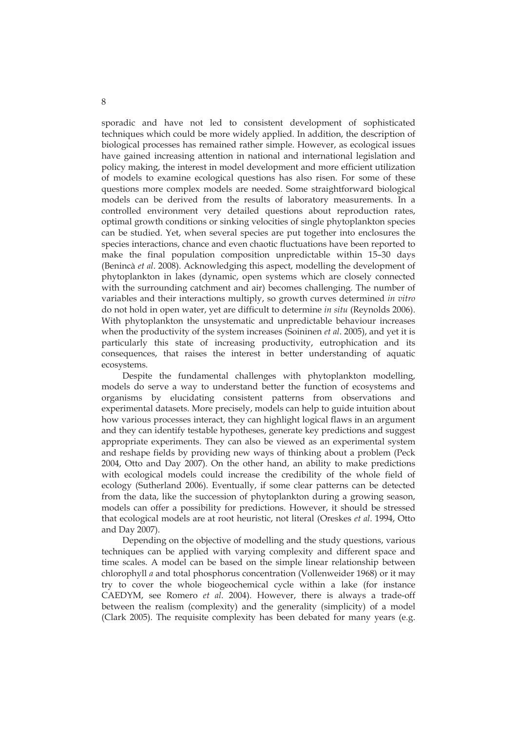sporadic and have not led to consistent development of sophisticated techniques which could be more widely applied. In addition, the description of biological processes has remained rather simple. However, as ecological issues have gained increasing attention in national and international legislation and policy making, the interest in model development and more efficient utilization of models to examine ecological questions has also risen. For some of these questions more complex models are needed. Some straightforward biological models can be derived from the results of laboratory measurements. In a controlled environment very detailed questions about reproduction rates, optimal growth conditions or sinking velocities of single phytoplankton species can be studied. Yet, when several species are put together into enclosures the species interactions, chance and even chaotic fluctuations have been reported to make the final population composition unpredictable within 15–30 days (Benincà *et al*. 2008). Acknowledging this aspect, modelling the development of phytoplankton in lakes (dynamic, open systems which are closely connected with the surrounding catchment and air) becomes challenging. The number of variables and their interactions multiply, so growth curves determined *in vitro* do not hold in open water, yet are difficult to determine *in situ* (Reynolds 2006). With phytoplankton the unsystematic and unpredictable behaviour increases when the productivity of the system increases (Soininen *et al*. 2005), and yet it is particularly this state of increasing productivity, eutrophication and its consequences, that raises the interest in better understanding of aquatic ecosystems.

Despite the fundamental challenges with phytoplankton modelling, models do serve a way to understand better the function of ecosystems and organisms by elucidating consistent patterns from observations and experimental datasets. More precisely, models can help to guide intuition about how various processes interact, they can highlight logical flaws in an argument and they can identify testable hypotheses, generate key predictions and suggest appropriate experiments. They can also be viewed as an experimental system and reshape fields by providing new ways of thinking about a problem (Peck 2004, Otto and Day 2007). On the other hand, an ability to make predictions with ecological models could increase the credibility of the whole field of ecology (Sutherland 2006). Eventually, if some clear patterns can be detected from the data, like the succession of phytoplankton during a growing season, models can offer a possibility for predictions. However, it should be stressed that ecological models are at root heuristic, not literal (Oreskes *et al*. 1994, Otto and Day 2007).

Depending on the objective of modelling and the study questions, various techniques can be applied with varying complexity and different space and time scales. A model can be based on the simple linear relationship between chlorophyll *a* and total phosphorus concentration (Vollenweider 1968) or it may try to cover the whole biogeochemical cycle within a lake (for instance CAEDYM, see Romero *et al*. 2004). However, there is always a trade-off between the realism (complexity) and the generality (simplicity) of a model (Clark 2005). The requisite complexity has been debated for many years (e.g.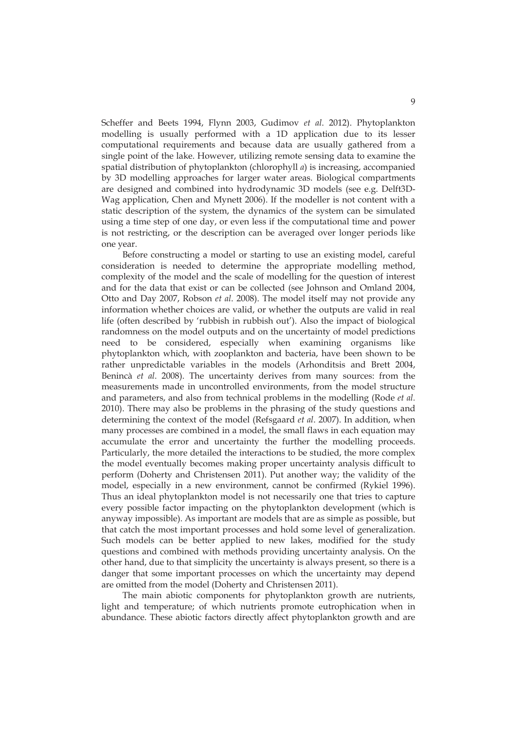Scheffer and Beets 1994, Flynn 2003, Gudimov *et al*. 2012). Phytoplankton modelling is usually performed with a 1D application due to its lesser computational requirements and because data are usually gathered from a single point of the lake. However, utilizing remote sensing data to examine the spatial distribution of phytoplankton (chlorophyll *a*) is increasing, accompanied by 3D modelling approaches for larger water areas. Biological compartments are designed and combined into hydrodynamic 3D models (see e.g. Delft3D-Wag application, Chen and Mynett 2006). If the modeller is not content with a static description of the system, the dynamics of the system can be simulated using a time step of one day, or even less if the computational time and power is not restricting, or the description can be averaged over longer periods like one year.

Before constructing a model or starting to use an existing model, careful consideration is needed to determine the appropriate modelling method, complexity of the model and the scale of modelling for the question of interest and for the data that exist or can be collected (see Johnson and Omland 2004, Otto and Day 2007, Robson *et al*. 2008). The model itself may not provide any information whether choices are valid, or whether the outputs are valid in real life (often described by 'rubbish in rubbish out'). Also the impact of biological randomness on the model outputs and on the uncertainty of model predictions need to be considered, especially when examining organisms like phytoplankton which, with zooplankton and bacteria, have been shown to be rather unpredictable variables in the models (Arhonditsis and Brett 2004, Benincà *et al*. 2008). The uncertainty derives from many sources: from the measurements made in uncontrolled environments, from the model structure and parameters, and also from technical problems in the modelling (Rode *et al.* 2010). There may also be problems in the phrasing of the study questions and determining the context of the model (Refsgaard *et al*. 2007). In addition, when many processes are combined in a model, the small flaws in each equation may accumulate the error and uncertainty the further the modelling proceeds. Particularly, the more detailed the interactions to be studied, the more complex the model eventually becomes making proper uncertainty analysis difficult to perform (Doherty and Christensen 2011). Put another way; the validity of the model, especially in a new environment, cannot be confirmed (Rykiel 1996). Thus an ideal phytoplankton model is not necessarily one that tries to capture every possible factor impacting on the phytoplankton development (which is anyway impossible). As important are models that are as simple as possible, but that catch the most important processes and hold some level of generalization. Such models can be better applied to new lakes, modified for the study questions and combined with methods providing uncertainty analysis. On the other hand, due to that simplicity the uncertainty is always present, so there is a danger that some important processes on which the uncertainty may depend are omitted from the model (Doherty and Christensen 2011).

The main abiotic components for phytoplankton growth are nutrients, light and temperature; of which nutrients promote eutrophication when in abundance. These abiotic factors directly affect phytoplankton growth and are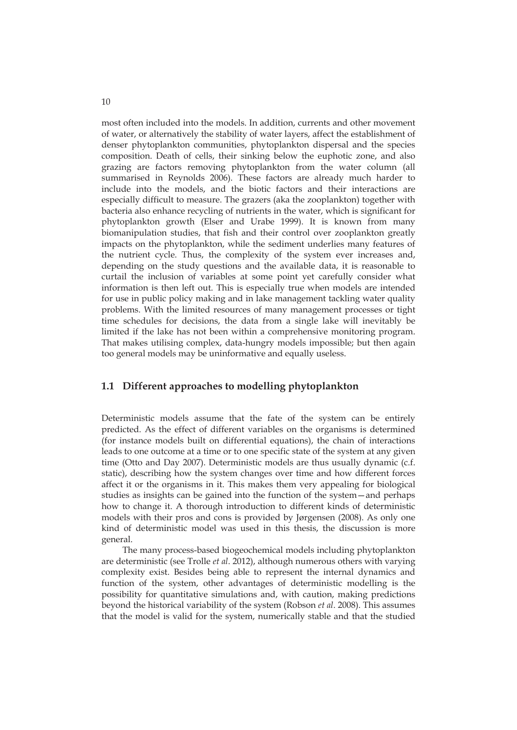most often included into the models. In addition, currents and other movement of water, or alternatively the stability of water layers, affect the establishment of denser phytoplankton communities, phytoplankton dispersal and the species composition. Death of cells, their sinking below the euphotic zone, and also grazing are factors removing phytoplankton from the water column (all summarised in Reynolds 2006). These factors are already much harder to include into the models, and the biotic factors and their interactions are especially difficult to measure. The grazers (aka the zooplankton) together with bacteria also enhance recycling of nutrients in the water, which is significant for phytoplankton growth (Elser and Urabe 1999). It is known from many biomanipulation studies, that fish and their control over zooplankton greatly impacts on the phytoplankton, while the sediment underlies many features of the nutrient cycle. Thus, the complexity of the system ever increases and, depending on the study questions and the available data, it is reasonable to curtail the inclusion of variables at some point yet carefully consider what information is then left out. This is especially true when models are intended for use in public policy making and in lake management tackling water quality problems. With the limited resources of many management processes or tight time schedules for decisions, the data from a single lake will inevitably be limited if the lake has not been within a comprehensive monitoring program. That makes utilising complex, data-hungry models impossible; but then again too general models may be uninformative and equally useless.

## **1.1 Different approaches to modelling phytoplankton**

Deterministic models assume that the fate of the system can be entirely predicted. As the effect of different variables on the organisms is determined (for instance models built on differential equations), the chain of interactions leads to one outcome at a time or to one specific state of the system at any given time (Otto and Day 2007). Deterministic models are thus usually dynamic (c.f. static), describing how the system changes over time and how different forces affect it or the organisms in it. This makes them very appealing for biological studies as insights can be gained into the function of the system—and perhaps how to change it. A thorough introduction to different kinds of deterministic models with their pros and cons is provided by Jørgensen (2008). As only one kind of deterministic model was used in this thesis, the discussion is more general.

The many process-based biogeochemical models including phytoplankton are deterministic (see Trolle *et al*. 2012), although numerous others with varying complexity exist. Besides being able to represent the internal dynamics and function of the system, other advantages of deterministic modelling is the possibility for quantitative simulations and, with caution, making predictions beyond the historical variability of the system (Robson *et al*. 2008). This assumes that the model is valid for the system, numerically stable and that the studied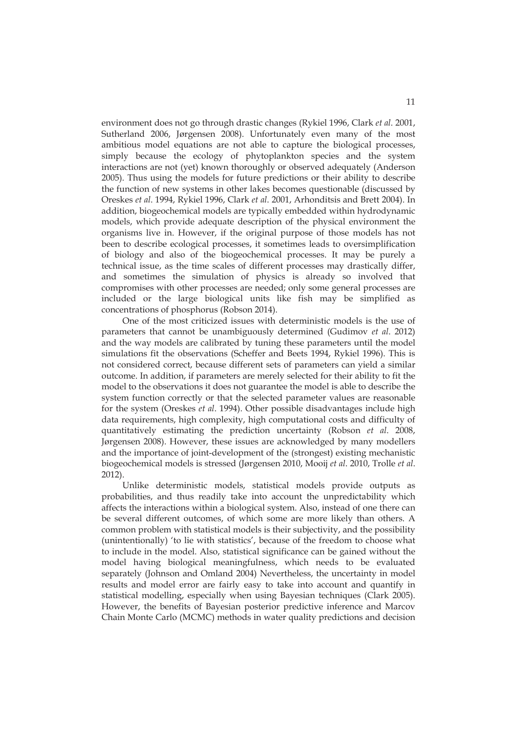environment does not go through drastic changes (Rykiel 1996, Clark *et al*. 2001, Sutherland 2006, Jørgensen 2008). Unfortunately even many of the most ambitious model equations are not able to capture the biological processes, simply because the ecology of phytoplankton species and the system interactions are not (yet) known thoroughly or observed adequately (Anderson 2005). Thus using the models for future predictions or their ability to describe the function of new systems in other lakes becomes questionable (discussed by Oreskes *et al*. 1994, Rykiel 1996, Clark *et al*. 2001, Arhonditsis and Brett 2004). In addition, biogeochemical models are typically embedded within hydrodynamic models, which provide adequate description of the physical environment the organisms live in. However, if the original purpose of those models has not been to describe ecological processes, it sometimes leads to oversimplification of biology and also of the biogeochemical processes. It may be purely a technical issue, as the time scales of different processes may drastically differ, and sometimes the simulation of physics is already so involved that compromises with other processes are needed; only some general processes are included or the large biological units like fish may be simplified as concentrations of phosphorus (Robson 2014).

One of the most criticized issues with deterministic models is the use of parameters that cannot be unambiguously determined (Gudimov *et al*. 2012) and the way models are calibrated by tuning these parameters until the model simulations fit the observations (Scheffer and Beets 1994, Rykiel 1996). This is not considered correct, because different sets of parameters can yield a similar outcome. In addition, if parameters are merely selected for their ability to fit the model to the observations it does not guarantee the model is able to describe the system function correctly or that the selected parameter values are reasonable for the system (Oreskes *et al*. 1994). Other possible disadvantages include high data requirements, high complexity, high computational costs and difficulty of quantitatively estimating the prediction uncertainty (Robson *et al*. 2008, Jørgensen 2008). However, these issues are acknowledged by many modellers and the importance of joint-development of the (strongest) existing mechanistic biogeochemical models is stressed (Jørgensen 2010, Mooij *et al*. 2010, Trolle *et al*. 2012).

Unlike deterministic models, statistical models provide outputs as probabilities, and thus readily take into account the unpredictability which affects the interactions within a biological system. Also, instead of one there can be several different outcomes, of which some are more likely than others. A common problem with statistical models is their subjectivity, and the possibility (unintentionally) 'to lie with statistics', because of the freedom to choose what to include in the model. Also, statistical significance can be gained without the model having biological meaningfulness, which needs to be evaluated separately (Johnson and Omland 2004) Nevertheless, the uncertainty in model results and model error are fairly easy to take into account and quantify in statistical modelling, especially when using Bayesian techniques (Clark 2005). However, the benefits of Bayesian posterior predictive inference and Marcov Chain Monte Carlo (MCMC) methods in water quality predictions and decision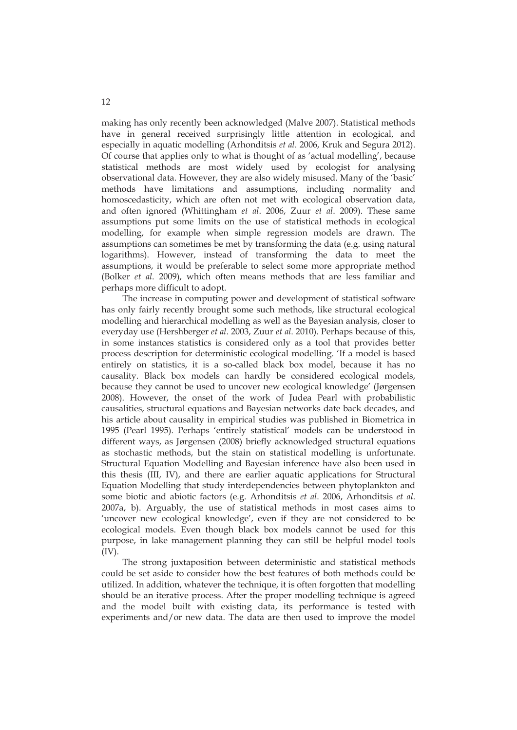making has only recently been acknowledged (Malve 2007). Statistical methods have in general received surprisingly little attention in ecological, and especially in aquatic modelling (Arhonditsis *et al*. 2006, Kruk and Segura 2012). Of course that applies only to what is thought of as 'actual modelling', because statistical methods are most widely used by ecologist for analysing observational data. However, they are also widely misused. Many of the 'basic' methods have limitations and assumptions, including normality and homoscedasticity, which are often not met with ecological observation data, and often ignored (Whittingham *et al*. 2006, Zuur *et al*. 2009). These same assumptions put some limits on the use of statistical methods in ecological modelling, for example when simple regression models are drawn. The assumptions can sometimes be met by transforming the data (e.g. using natural logarithms). However, instead of transforming the data to meet the assumptions, it would be preferable to select some more appropriate method (Bolker *et al*. 2009), which often means methods that are less familiar and perhaps more difficult to adopt.

The increase in computing power and development of statistical software has only fairly recently brought some such methods, like structural ecological modelling and hierarchical modelling as well as the Bayesian analysis, closer to everyday use (Hershberger *et al*. 2003, Zuur *et al*. 2010). Perhaps because of this, in some instances statistics is considered only as a tool that provides better process description for deterministic ecological modelling. 'If a model is based entirely on statistics, it is a so-called black box model, because it has no causality. Black box models can hardly be considered ecological models, because they cannot be used to uncover new ecological knowledge' (Jørgensen 2008). However, the onset of the work of Judea Pearl with probabilistic causalities, structural equations and Bayesian networks date back decades, and his article about causality in empirical studies was published in Biometrica in 1995 (Pearl 1995). Perhaps 'entirely statistical' models can be understood in different ways, as Jørgensen (2008) briefly acknowledged structural equations as stochastic methods, but the stain on statistical modelling is unfortunate. Structural Equation Modelling and Bayesian inference have also been used in this thesis (III, IV), and there are earlier aquatic applications for Structural Equation Modelling that study interdependencies between phytoplankton and some biotic and abiotic factors (e.g. Arhonditsis *et al*. 2006, Arhonditsis *et al*. 2007a, b). Arguably, the use of statistical methods in most cases aims to 'uncover new ecological knowledge', even if they are not considered to be ecological models. Even though black box models cannot be used for this purpose, in lake management planning they can still be helpful model tools (IV).

The strong juxtaposition between deterministic and statistical methods could be set aside to consider how the best features of both methods could be utilized. In addition, whatever the technique, it is often forgotten that modelling should be an iterative process. After the proper modelling technique is agreed and the model built with existing data, its performance is tested with experiments and/or new data. The data are then used to improve the model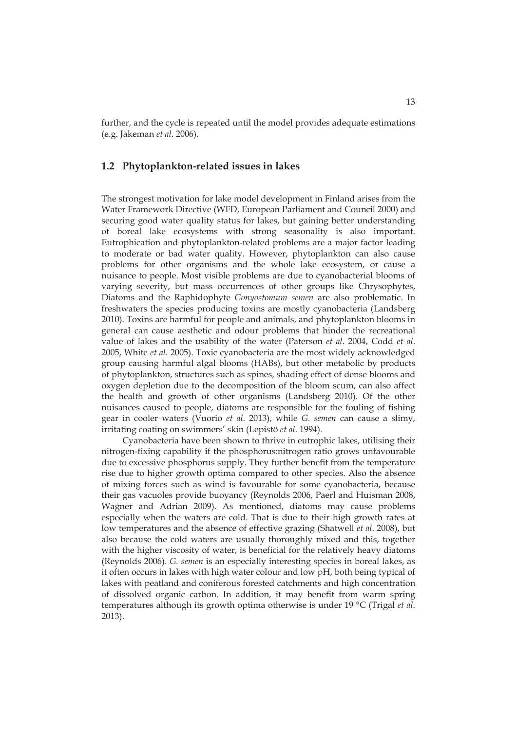further, and the cycle is repeated until the model provides adequate estimations (e.g. Jakeman *et al*. 2006).

## **1.2 Phytoplankton-related issues in lakes**

The strongest motivation for lake model development in Finland arises from the Water Framework Directive (WFD, European Parliament and Council 2000) and securing good water quality status for lakes, but gaining better understanding of boreal lake ecosystems with strong seasonality is also important. Eutrophication and phytoplankton-related problems are a major factor leading to moderate or bad water quality. However, phytoplankton can also cause problems for other organisms and the whole lake ecosystem, or cause a nuisance to people. Most visible problems are due to cyanobacterial blooms of varying severity, but mass occurrences of other groups like Chrysophytes, Diatoms and the Raphidophyte *Gonyostomum semen* are also problematic. In freshwaters the species producing toxins are mostly cyanobacteria (Landsberg 2010). Toxins are harmful for people and animals, and phytoplankton blooms in general can cause aesthetic and odour problems that hinder the recreational value of lakes and the usability of the water (Paterson *et al*. 2004, Codd *et al*. 2005, White *et al*. 2005). Toxic cyanobacteria are the most widely acknowledged group causing harmful algal blooms (HABs), but other metabolic by products of phytoplankton, structures such as spines, shading effect of dense blooms and oxygen depletion due to the decomposition of the bloom scum, can also affect the health and growth of other organisms (Landsberg 2010). Of the other nuisances caused to people, diatoms are responsible for the fouling of fishing gear in cooler waters (Vuorio *et al*. 2013), while *G. semen* can cause a slimy, irritating coating on swimmers' skin (Lepistö *et al*. 1994).

Cyanobacteria have been shown to thrive in eutrophic lakes, utilising their nitrogen-fixing capability if the phosphorus:nitrogen ratio grows unfavourable due to excessive phosphorus supply. They further benefit from the temperature rise due to higher growth optima compared to other species. Also the absence of mixing forces such as wind is favourable for some cyanobacteria, because their gas vacuoles provide buoyancy (Reynolds 2006, Paerl and Huisman 2008, Wagner and Adrian 2009). As mentioned, diatoms may cause problems especially when the waters are cold. That is due to their high growth rates at low temperatures and the absence of effective grazing (Shatwell *et al*. 2008), but also because the cold waters are usually thoroughly mixed and this, together with the higher viscosity of water, is beneficial for the relatively heavy diatoms (Reynolds 2006). *G. semen* is an especially interesting species in boreal lakes, as it often occurs in lakes with high water colour and low pH, both being typical of lakes with peatland and coniferous forested catchments and high concentration of dissolved organic carbon. In addition, it may benefit from warm spring temperatures although its growth optima otherwise is under 19 °C (Trigal *et al*. 2013).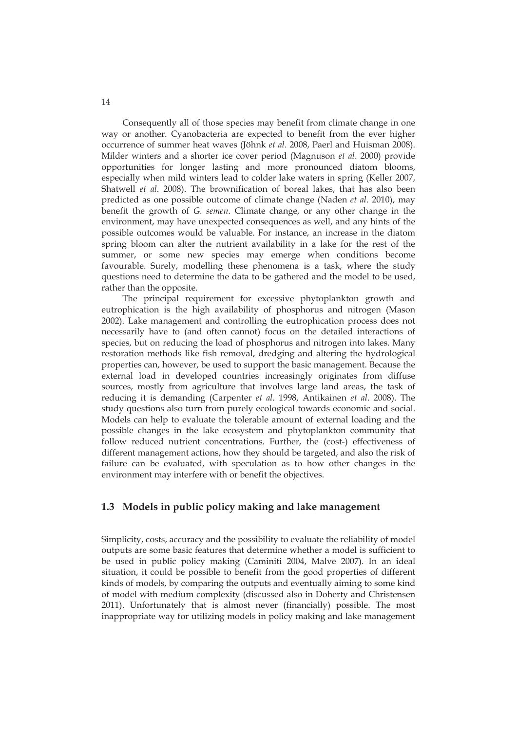Consequently all of those species may benefit from climate change in one way or another. Cyanobacteria are expected to benefit from the ever higher occurrence of summer heat waves (Jöhnk *et al*. 2008, Paerl and Huisman 2008). Milder winters and a shorter ice cover period (Magnuson *et al*. 2000) provide opportunities for longer lasting and more pronounced diatom blooms, especially when mild winters lead to colder lake waters in spring (Keller 2007, Shatwell *et al*. 2008). The brownification of boreal lakes, that has also been predicted as one possible outcome of climate change (Naden *et al*. 2010), may benefit the growth of *G. semen*. Climate change, or any other change in the environment, may have unexpected consequences as well, and any hints of the possible outcomes would be valuable. For instance, an increase in the diatom spring bloom can alter the nutrient availability in a lake for the rest of the summer, or some new species may emerge when conditions become favourable. Surely, modelling these phenomena is a task, where the study questions need to determine the data to be gathered and the model to be used, rather than the opposite.

The principal requirement for excessive phytoplankton growth and eutrophication is the high availability of phosphorus and nitrogen (Mason 2002). Lake management and controlling the eutrophication process does not necessarily have to (and often cannot) focus on the detailed interactions of species, but on reducing the load of phosphorus and nitrogen into lakes. Many restoration methods like fish removal, dredging and altering the hydrological properties can, however, be used to support the basic management. Because the external load in developed countries increasingly originates from diffuse sources, mostly from agriculture that involves large land areas, the task of reducing it is demanding (Carpenter *et al*. 1998, Antikainen *et al*. 2008). The study questions also turn from purely ecological towards economic and social. Models can help to evaluate the tolerable amount of external loading and the possible changes in the lake ecosystem and phytoplankton community that follow reduced nutrient concentrations. Further, the (cost-) effectiveness of different management actions, how they should be targeted, and also the risk of failure can be evaluated, with speculation as to how other changes in the environment may interfere with or benefit the objectives.

### **1.3 Models in public policy making and lake management**

Simplicity, costs, accuracy and the possibility to evaluate the reliability of model outputs are some basic features that determine whether a model is sufficient to be used in public policy making (Caminiti 2004, Malve 2007). In an ideal situation, it could be possible to benefit from the good properties of different kinds of models, by comparing the outputs and eventually aiming to some kind of model with medium complexity (discussed also in Doherty and Christensen 2011). Unfortunately that is almost never (financially) possible. The most inappropriate way for utilizing models in policy making and lake management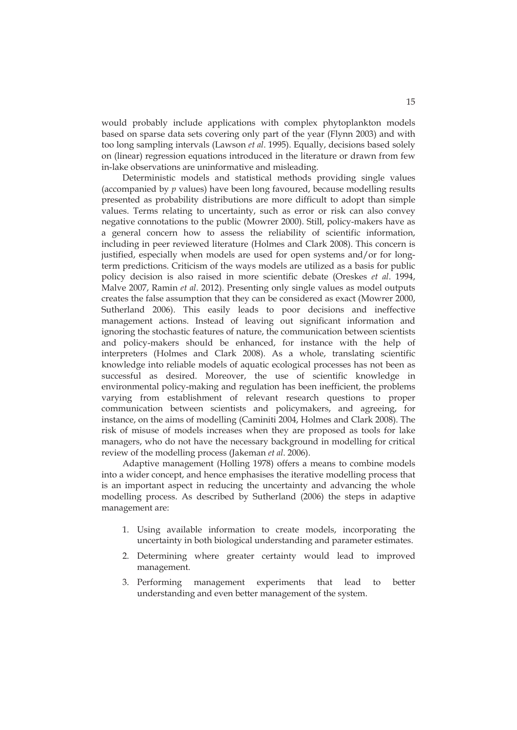would probably include applications with complex phytoplankton models based on sparse data sets covering only part of the year (Flynn 2003) and with too long sampling intervals (Lawson *et al*. 1995). Equally, decisions based solely on (linear) regression equations introduced in the literature or drawn from few in-lake observations are uninformative and misleading.

Deterministic models and statistical methods providing single values (accompanied by *p* values) have been long favoured, because modelling results presented as probability distributions are more difficult to adopt than simple values. Terms relating to uncertainty, such as error or risk can also convey negative connotations to the public (Mowrer 2000). Still, policy-makers have as a general concern how to assess the reliability of scientific information, including in peer reviewed literature (Holmes and Clark 2008). This concern is justified, especially when models are used for open systems and/or for longterm predictions. Criticism of the ways models are utilized as a basis for public policy decision is also raised in more scientific debate (Oreskes *et al*. 1994, Malve 2007, Ramin *et al*. 2012). Presenting only single values as model outputs creates the false assumption that they can be considered as exact (Mowrer 2000, Sutherland 2006). This easily leads to poor decisions and ineffective management actions. Instead of leaving out significant information and ignoring the stochastic features of nature, the communication between scientists and policy-makers should be enhanced, for instance with the help of interpreters (Holmes and Clark 2008). As a whole, translating scientific knowledge into reliable models of aquatic ecological processes has not been as successful as desired. Moreover, the use of scientific knowledge in environmental policy-making and regulation has been inefficient, the problems varying from establishment of relevant research questions to proper communication between scientists and policymakers, and agreeing, for instance, on the aims of modelling (Caminiti 2004, Holmes and Clark 2008). The risk of misuse of models increases when they are proposed as tools for lake managers, who do not have the necessary background in modelling for critical review of the modelling process (Jakeman *et al*. 2006).

Adaptive management (Holling 1978) offers a means to combine models into a wider concept, and hence emphasises the iterative modelling process that is an important aspect in reducing the uncertainty and advancing the whole modelling process. As described by Sutherland (2006) the steps in adaptive management are:

- 1. Using available information to create models, incorporating the uncertainty in both biological understanding and parameter estimates.
- 2. Determining where greater certainty would lead to improved management.
- 3. Performing management experiments that lead to better understanding and even better management of the system.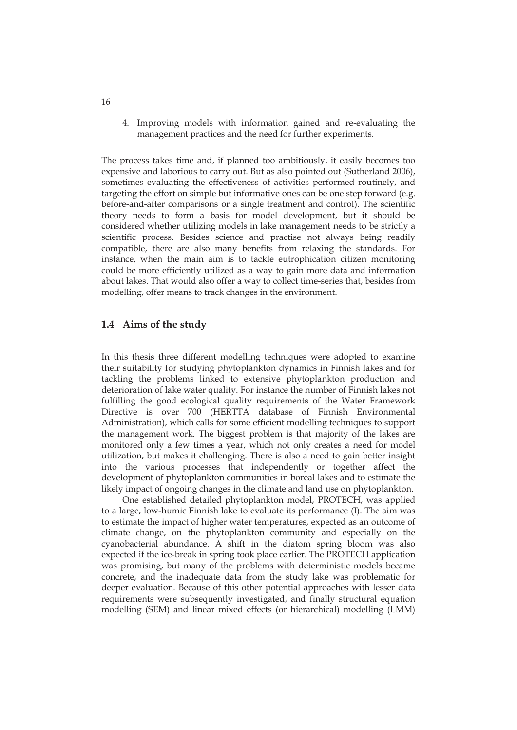4. Improving models with information gained and re-evaluating the management practices and the need for further experiments.

The process takes time and, if planned too ambitiously, it easily becomes too expensive and laborious to carry out. But as also pointed out (Sutherland 2006), sometimes evaluating the effectiveness of activities performed routinely, and targeting the effort on simple but informative ones can be one step forward (e.g. before-and-after comparisons or a single treatment and control). The scientific theory needs to form a basis for model development, but it should be considered whether utilizing models in lake management needs to be strictly a scientific process. Besides science and practise not always being readily compatible, there are also many benefits from relaxing the standards. For instance, when the main aim is to tackle eutrophication citizen monitoring could be more efficiently utilized as a way to gain more data and information about lakes. That would also offer a way to collect time-series that, besides from modelling, offer means to track changes in the environment.

#### **1.4 Aims of the study**

In this thesis three different modelling techniques were adopted to examine their suitability for studying phytoplankton dynamics in Finnish lakes and for tackling the problems linked to extensive phytoplankton production and deterioration of lake water quality. For instance the number of Finnish lakes not fulfilling the good ecological quality requirements of the Water Framework Directive is over 700 (HERTTA database of Finnish Environmental Administration), which calls for some efficient modelling techniques to support the management work. The biggest problem is that majority of the lakes are monitored only a few times a year, which not only creates a need for model utilization, but makes it challenging. There is also a need to gain better insight into the various processes that independently or together affect the development of phytoplankton communities in boreal lakes and to estimate the likely impact of ongoing changes in the climate and land use on phytoplankton.

One established detailed phytoplankton model, PROTECH, was applied to a large, low-humic Finnish lake to evaluate its performance (I). The aim was to estimate the impact of higher water temperatures, expected as an outcome of climate change, on the phytoplankton community and especially on the cyanobacterial abundance. A shift in the diatom spring bloom was also expected if the ice-break in spring took place earlier. The PROTECH application was promising, but many of the problems with deterministic models became concrete, and the inadequate data from the study lake was problematic for deeper evaluation. Because of this other potential approaches with lesser data requirements were subsequently investigated, and finally structural equation modelling (SEM) and linear mixed effects (or hierarchical) modelling (LMM)

16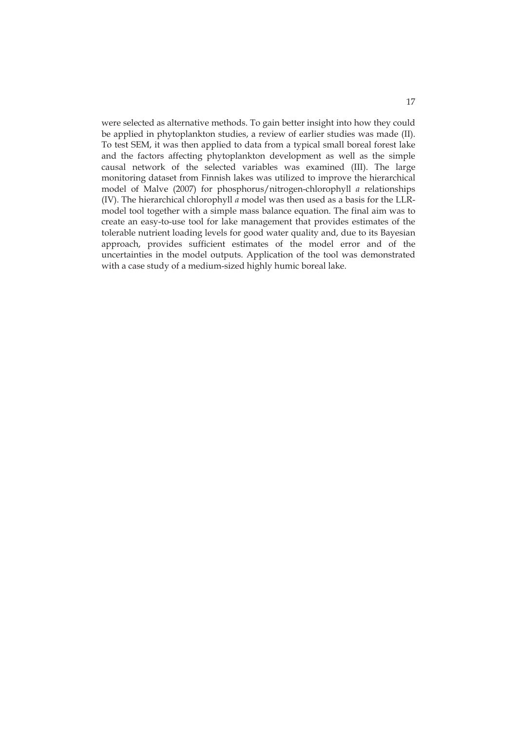were selected as alternative methods. To gain better insight into how they could be applied in phytoplankton studies, a review of earlier studies was made (II). To test SEM, it was then applied to data from a typical small boreal forest lake and the factors affecting phytoplankton development as well as the simple causal network of the selected variables was examined (III). The large monitoring dataset from Finnish lakes was utilized to improve the hierarchical model of Malve (2007) for phosphorus/nitrogen-chlorophyll *a* relationships (IV). The hierarchical chlorophyll *a* model was then used as a basis for the LLRmodel tool together with a simple mass balance equation. The final aim was to create an easy-to-use tool for lake management that provides estimates of the tolerable nutrient loading levels for good water quality and, due to its Bayesian approach, provides sufficient estimates of the model error and of the uncertainties in the model outputs. Application of the tool was demonstrated with a case study of a medium-sized highly humic boreal lake.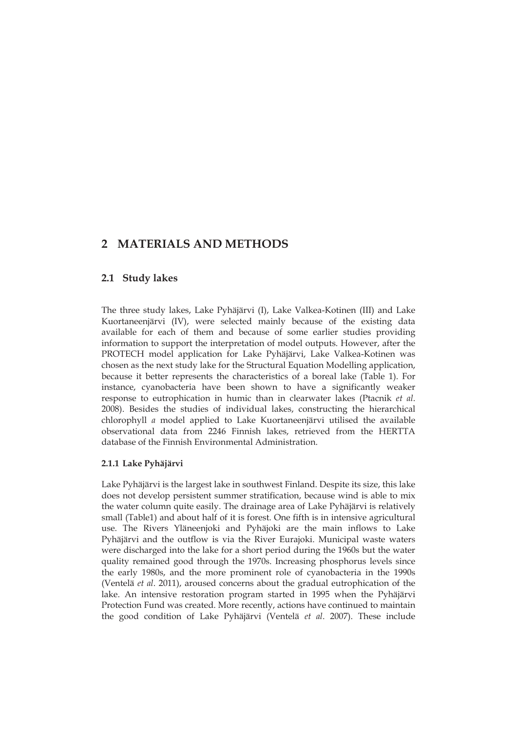# **2 MATERIALS AND METHODS**

### **2.1 Study lakes**

The three study lakes, Lake Pyhäjärvi (I), Lake Valkea-Kotinen (III) and Lake Kuortaneenjärvi (IV), were selected mainly because of the existing data available for each of them and because of some earlier studies providing information to support the interpretation of model outputs. However, after the PROTECH model application for Lake Pyhäjärvi, Lake Valkea-Kotinen was chosen as the next study lake for the Structural Equation Modelling application, because it better represents the characteristics of a boreal lake (Table 1). For instance, cyanobacteria have been shown to have a significantly weaker response to eutrophication in humic than in clearwater lakes (Ptacnik *et al*. 2008). Besides the studies of individual lakes, constructing the hierarchical chlorophyll *a* model applied to Lake Kuortaneenjärvi utilised the available observational data from 2246 Finnish lakes, retrieved from the HERTTA database of the Finnish Environmental Administration.

### **2.1.1 Lake Pyhäjärvi**

Lake Pyhäjärvi is the largest lake in southwest Finland. Despite its size, this lake does not develop persistent summer stratification, because wind is able to mix the water column quite easily. The drainage area of Lake Pyhäjärvi is relatively small (Table1) and about half of it is forest. One fifth is in intensive agricultural use. The Rivers Yläneenjoki and Pyhäjoki are the main inflows to Lake Pyhäjärvi and the outflow is via the River Eurajoki. Municipal waste waters were discharged into the lake for a short period during the 1960s but the water quality remained good through the 1970s. Increasing phosphorus levels since the early 1980s, and the more prominent role of cyanobacteria in the 1990s (Ventelä *et al*. 2011), aroused concerns about the gradual eutrophication of the lake. An intensive restoration program started in 1995 when the Pyhäjärvi Protection Fund was created. More recently, actions have continued to maintain the good condition of Lake Pyhäjärvi (Ventelä *et al*. 2007). These include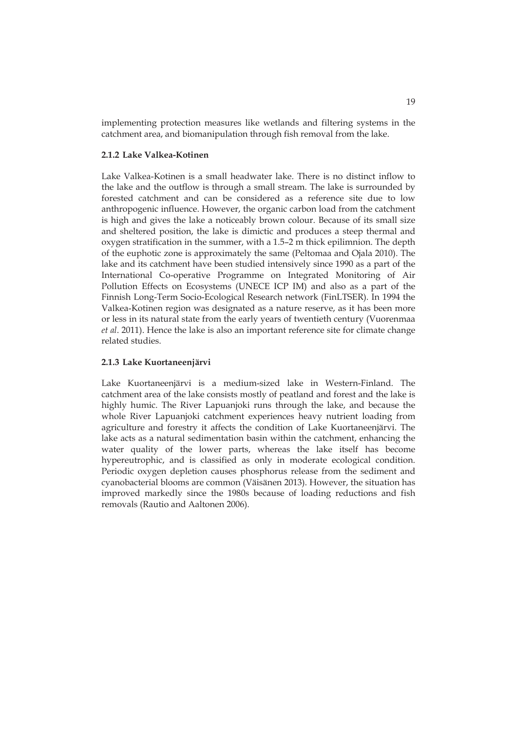implementing protection measures like wetlands and filtering systems in the catchment area, and biomanipulation through fish removal from the lake.

#### **2.1.2 Lake Valkea-Kotinen**

Lake Valkea-Kotinen is a small headwater lake. There is no distinct inflow to the lake and the outflow is through a small stream. The lake is surrounded by forested catchment and can be considered as a reference site due to low anthropogenic influence. However, the organic carbon load from the catchment is high and gives the lake a noticeably brown colour. Because of its small size and sheltered position, the lake is dimictic and produces a steep thermal and oxygen stratification in the summer, with a 1.5–2 m thick epilimnion. The depth of the euphotic zone is approximately the same (Peltomaa and Ojala 2010). The lake and its catchment have been studied intensively since 1990 as a part of the International Co-operative Programme on Integrated Monitoring of Air Pollution Effects on Ecosystems (UNECE ICP IM) and also as a part of the Finnish Long-Term Socio-Ecological Research network (FinLTSER). In 1994 the Valkea-Kotinen region was designated as a nature reserve, as it has been more or less in its natural state from the early years of twentieth century (Vuorenmaa *et al*. 2011). Hence the lake is also an important reference site for climate change related studies.

#### **2.1.3 Lake Kuortaneenjärvi**

Lake Kuortaneenjärvi is a medium-sized lake in Western-Finland. The catchment area of the lake consists mostly of peatland and forest and the lake is highly humic. The River Lapuanjoki runs through the lake, and because the whole River Lapuanjoki catchment experiences heavy nutrient loading from agriculture and forestry it affects the condition of Lake Kuortaneenjärvi. The lake acts as a natural sedimentation basin within the catchment, enhancing the water quality of the lower parts, whereas the lake itself has become hypereutrophic, and is classified as only in moderate ecological condition. Periodic oxygen depletion causes phosphorus release from the sediment and cyanobacterial blooms are common (Väisänen 2013). However, the situation has improved markedly since the 1980s because of loading reductions and fish removals (Rautio and Aaltonen 2006).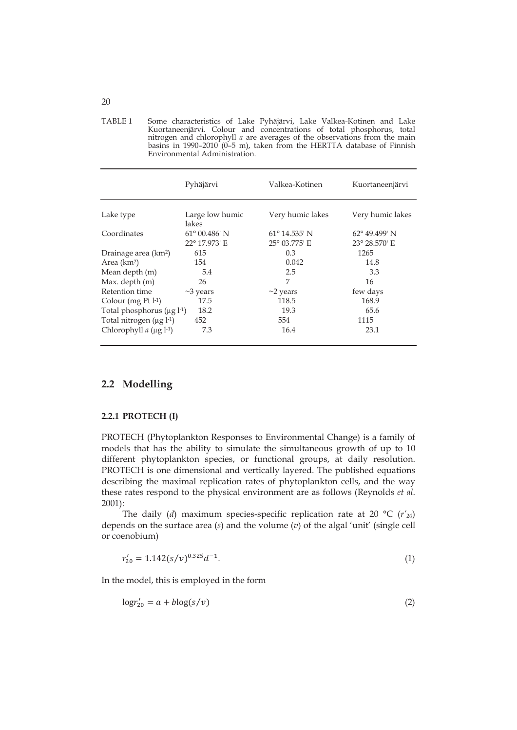| TABLE 1 | Some characteristics of Lake Pyhäjärvi, Lake Valkea-Kotinen and Lake             |
|---------|----------------------------------------------------------------------------------|
|         | Kuortaneenjärvi. Colour and concentrations of total phosphorus, total            |
|         | nitrogen and chlorophyll <i>a</i> are averages of the observations from the main |
|         | basins in $1990-2010$ (0-5 m), taken from the HERTTA database of Finnish         |
|         | Environmental Administration.                                                    |

|                                             | Pyhäjärvi              | Valkea-Kotinen         | Kuortaneenjärvi        |
|---------------------------------------------|------------------------|------------------------|------------------------|
| Lake type                                   | Large low humic        | Very humic lakes       | Very humic lakes       |
|                                             | lakes                  |                        |                        |
| Coordinates                                 | $61^{\circ}$ 00.486' N | $61^{\circ}$ 14.535' N | $62^{\circ}$ 49.499' N |
|                                             | 22° 17.973' E          | 25° 03.775' E          | 23° 28.570' E          |
| Drainage area (km <sup>2</sup> )            | 615                    | 0.3                    | 1265                   |
| Area $(km2)$                                | 154                    | 0.042                  | 14.8                   |
| Mean depth (m)                              | 5.4                    | 2.5                    | 3.3                    |
| Max. depth (m)                              | 26                     | 7                      | 16                     |
| Retention time                              | $\sim$ 3 years         | $\sim$ 2 years         | few days               |
| Colour (mg $Pt 1-1$ )                       | 17.5                   | 118.5                  | 168.9                  |
| Total phosphorus $(\mu g l^{-1})$           | 18.2                   | 19.3                   | 65.6                   |
| Total nitrogen $(\mu g 1^{-1})$             | 452                    | 554                    | 1115                   |
| Chlorophyll $a$ ( $\mu$ g l <sup>-1</sup> ) | 7.3                    | 16.4                   | 23.1                   |

## **2.2 Modelling**

#### **2.2.1 PROTECH (I)**

PROTECH (Phytoplankton Responses to Environmental Change) is a family of models that has the ability to simulate the simultaneous growth of up to 10 different phytoplankton species, or functional groups, at daily resolution. PROTECH is one dimensional and vertically layered. The published equations describing the maximal replication rates of phytoplankton cells, and the way these rates respond to the physical environment are as follows (Reynolds *et al*. 2001):

The daily (*d*) maximum species-specific replication rate at 20 °C (*r'20*) depends on the surface area (*s*) and the volume (*v*) of the algal 'unit' (single cell or coenobium)

$$
r'_{20} = 1.142(s/v)^{0.325}d^{-1}.
$$
\n(1)

In the model, this is employed in the form

$$
\log r'_{20} = a + b \log(s/v) \tag{2}
$$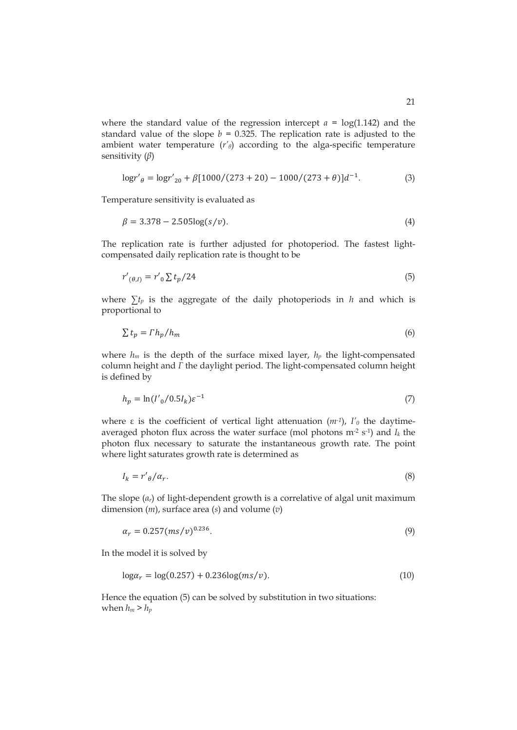where the standard value of the regression intercept  $a = \log(1.142)$  and the standard value of the slope  $b = 0.325$ . The replication rate is adjusted to the ambient water temperature  $(r<sub>\theta</sub>)$  according to the alga-specific temperature sensitivity  $(\beta)$ 

$$
\log r'_{\theta} = \log r'_{20} + \beta [1000/(273 + 20) - 1000/(273 + \theta)]d^{-1}.
$$
 (3)

Temperature sensitivity is evaluated as

$$
\beta = 3.378 - 2.505 \log(s/v). \tag{4}
$$

The replication rate is further adjusted for photoperiod. The fastest lightcompensated daily replication rate is thought to be

$$
r'_{(\theta,I)} = r'_{0} \sum t_{p}/24 \tag{5}
$$

where  $\sum t_p$  is the aggregate of the daily photoperiods in *h* and which is proportional to

$$
\sum t_p = \Gamma h_p / h_m \tag{6}
$$

where  $h_m$  is the depth of the surface mixed layer,  $h_p$  the light-compensated column height and *I* the daylight period. The light-compensated column height is defined by

$$
h_p = \ln(I'_0 / 0.5I_k) \varepsilon^{-1}
$$
\n(7)

where  $\varepsilon$  is the coefficient of vertical light attenuation ( $m$ <sup>-1</sup>),  $I'_{0}$  the daytimeaveraged photon flux across the water surface (mol photons m-2 s-1) and *Ik* the photon flux necessary to saturate the instantaneous growth rate. The point where light saturates growth rate is determined as

$$
I_k = r'_{\theta}/\alpha_r. \tag{8}
$$

The slope (*a*<sup>*r*</sup>) of light-dependent growth is a correlative of algal unit maximum dimension (*m*), surface area (*s*) and volume (*v*)

$$
\alpha_r = 0.257 \, (ms/v)^{0.236}.\tag{9}
$$

In the model it is solved by

$$
\log \alpha_r = \log(0.257) + 0.236 \log(ms/v). \tag{10}
$$

Hence the equation (5) can be solved by substitution in two situations: when  $h_m > h_p$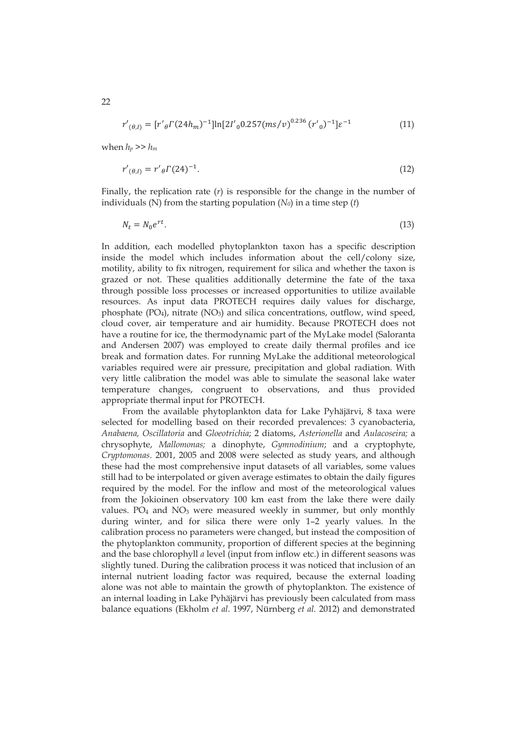$$
r'_{(\theta,I)} = [r'_{\theta} \Gamma(24h_m)^{-1}] \ln[2I'_{0} 0.257(m s/v)^{0.236} (r'_{0})^{-1}] \varepsilon^{-1}
$$
 (11)

when  $h_p \gg h_m$ 

$$
r'_{(\theta,I)} = r'_{\theta} \Gamma(24)^{-1}.
$$
\n(12)

Finally, the replication rate (*r*) is responsible for the change in the number of individuals (*N*) from the starting population  $(N_0)$  in a time step  $(t)$ 

$$
N_t = N_0 e^{rt}.\tag{13}
$$

In addition, each modelled phytoplankton taxon has a specific description inside the model which includes information about the cell/colony size, motility, ability to fix nitrogen, requirement for silica and whether the taxon is grazed or not. These qualities additionally determine the fate of the taxa through possible loss processes or increased opportunities to utilize available resources. As input data PROTECH requires daily values for discharge, phosphate (PO4), nitrate (NO3) and silica concentrations, outflow, wind speed, cloud cover, air temperature and air humidity. Because PROTECH does not have a routine for ice, the thermodynamic part of the MyLake model (Saloranta and Andersen 2007) was employed to create daily thermal profiles and ice break and formation dates. For running MyLake the additional meteorological variables required were air pressure, precipitation and global radiation. With very little calibration the model was able to simulate the seasonal lake water temperature changes, congruent to observations, and thus provided appropriate thermal input for PROTECH.

From the available phytoplankton data for Lake Pyhäjärvi, 8 taxa were selected for modelling based on their recorded prevalences: 3 cyanobacteria, *Anabaena, Oscillatoria* and *Gloeotrichia*; 2 diatoms, *Asterionella* and *Aulacoseira;* a chrysophyte, *Mallomonas;* a dinophyte, *Gymnodinium*; and a cryptophyte, *Cryptomonas*. 2001, 2005 and 2008 were selected as study years, and although these had the most comprehensive input datasets of all variables, some values still had to be interpolated or given average estimates to obtain the daily figures required by the model. For the inflow and most of the meteorological values from the Jokioinen observatory 100 km east from the lake there were daily values.  $PO_4$  and  $NO_3$  were measured weekly in summer, but only monthly during winter, and for silica there were only 1–2 yearly values. In the calibration process no parameters were changed, but instead the composition of the phytoplankton community, proportion of different species at the beginning and the base chlorophyll *a* level (input from inflow etc.) in different seasons was slightly tuned. During the calibration process it was noticed that inclusion of an internal nutrient loading factor was required, because the external loading alone was not able to maintain the growth of phytoplankton. The existence of an internal loading in Lake Pyhäjärvi has previously been calculated from mass balance equations (Ekholm *et al*. 1997, Nürnberg *et al.* 2012) and demonstrated

22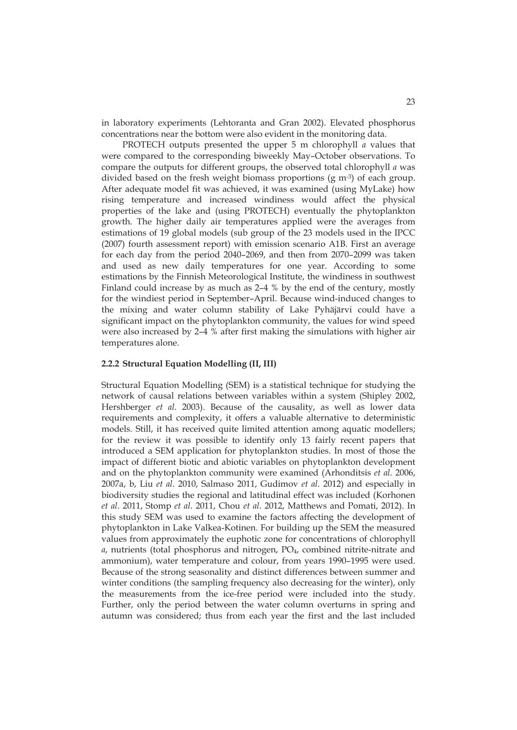in laboratory experiments (Lehtoranta and Gran 2002). Elevated phosphorus concentrations near the bottom were also evident in the monitoring data.

PROTECH outputs presented the upper 5 m chlorophyll *a* values that were compared to the corresponding biweekly May–October observations. To compare the outputs for different groups, the observed total chlorophyll *a* was divided based on the fresh weight biomass proportions (g m-3) of each group. After adequate model fit was achieved, it was examined (using MyLake) how rising temperature and increased windiness would affect the physical properties of the lake and (using PROTECH) eventually the phytoplankton growth. The higher daily air temperatures applied were the averages from estimations of 19 global models (sub group of the 23 models used in the IPCC (2007) fourth assessment report) with emission scenario A1B. First an average for each day from the period 2040–2069, and then from 2070–2099 was taken and used as new daily temperatures for one year. According to some estimations by the Finnish Meteorological Institute, the windiness in southwest Finland could increase by as much as 2–4 % by the end of the century, mostly for the windiest period in September–April. Because wind-induced changes to the mixing and water column stability of Lake Pyhäjärvi could have a significant impact on the phytoplankton community, the values for wind speed were also increased by 2–4 % after first making the simulations with higher air temperatures alone.

#### **2.2.2 Structural Equation Modelling (II, III)**

Structural Equation Modelling (SEM) is a statistical technique for studying the network of causal relations between variables within a system (Shipley 2002, Hershberger *et al*. 2003). Because of the causality, as well as lower data requirements and complexity, it offers a valuable alternative to deterministic models. Still, it has received quite limited attention among aquatic modellers; for the review it was possible to identify only 13 fairly recent papers that introduced a SEM application for phytoplankton studies. In most of those the impact of different biotic and abiotic variables on phytoplankton development and on the phytoplankton community were examined (Arhonditsis *et al*. 2006, 2007a, b, Liu *et al*. 2010, Salmaso 2011, Gudimov *et al*. 2012) and especially in biodiversity studies the regional and latitudinal effect was included (Korhonen *et al*. 2011, Stomp *et al*. 2011, Chou *et al*. 2012, Matthews and Pomati, 2012). In this study SEM was used to examine the factors affecting the development of phytoplankton in Lake Valkea-Kotinen. For building up the SEM the measured values from approximately the euphotic zone for concentrations of chlorophyll a, nutrients (total phosphorus and nitrogen, PO<sub>4</sub>, combined nitrite-nitrate and ammonium), water temperature and colour, from years 1990–1995 were used. Because of the strong seasonality and distinct differences between summer and winter conditions (the sampling frequency also decreasing for the winter), only the measurements from the ice-free period were included into the study. Further, only the period between the water column overturns in spring and autumn was considered; thus from each year the first and the last included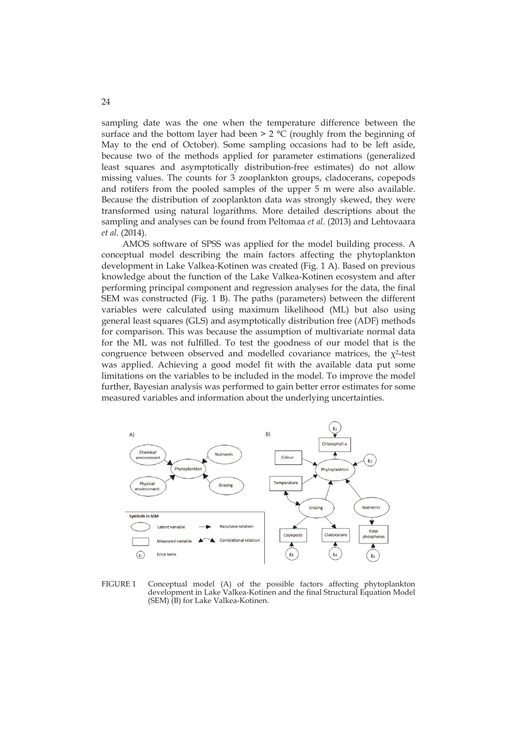sampling date was the one when the temperature difference between the surface and the bottom layer had been  $> 2 °C$  (roughly from the beginning of May to the end of October). Some sampling occasions had to be left aside, because two of the methods applied for parameter estimations (generalized least squares and asymptotically distribution-free estimates) do not allow missing values. The counts for 3 zooplankton groups, cladocerans, copepods and rotifers from the pooled samples of the upper 5 m were also available. Because the distribution of zooplankton data was strongly skewed, they were transformed using natural logarithms. More detailed descriptions about the sampling and analyses can be found from Peltomaa *et al*. (2013) and Lehtovaara *et al*. (2014).

AMOS software of SPSS was applied for the model building process. A conceptual model describing the main factors affecting the phytoplankton development in Lake Valkea-Kotinen was created (Fig. 1 A). Based on previous knowledge about the function of the Lake Valkea-Kotinen ecosystem and after performing principal component and regression analyses for the data, the final SEM was constructed (Fig. 1 B). The paths (parameters) between the different variables were calculated using maximum likelihood (ML) but also using general least squares (GLS) and asymptotically distribution free (ADF) methods for comparison. This was because the assumption of multivariate normal data for the ML was not fulfilled. To test the goodness of our model that is the congruence between observed and modelled covariance matrices, the  $\chi^2$ -test was applied. Achieving a good model fit with the available data put some limitations on the variables to be included in the model. To improve the model further, Bayesian analysis was performed to gain better error estimates for some measured variables and information about the underlying uncertainties.



FIGURE 1 Conceptual model (A) of the possible factors affecting phytoplankton development in Lake Valkea-Kotinen and the final Structural Equation Model (SEM) (B) for Lake Valkea-Kotinen.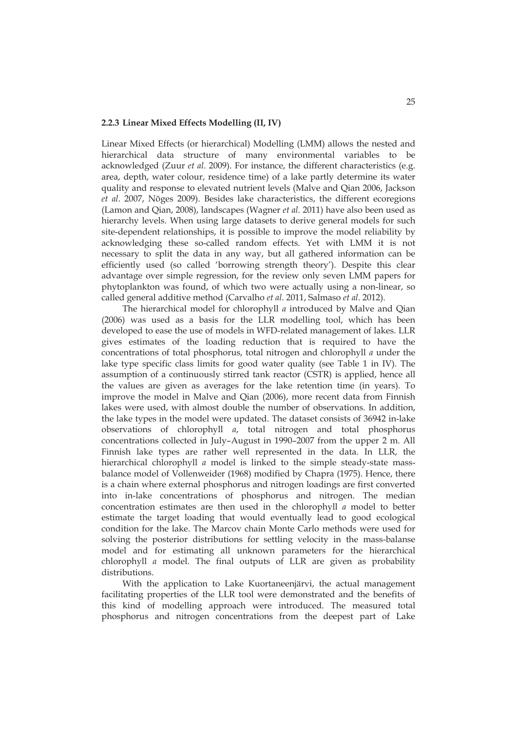#### **2.2.3 Linear Mixed Effects Modelling (II, IV)**

Linear Mixed Effects (or hierarchical) Modelling (LMM) allows the nested and hierarchical data structure of many environmental variables to be acknowledged (Zuur *et al*. 2009). For instance, the different characteristics (e.g. area, depth, water colour, residence time) of a lake partly determine its water quality and response to elevated nutrient levels (Malve and Qian 2006, Jackson *et al*. 2007, Nõges 2009). Besides lake characteristics, the different ecoregions (Lamon and Qian, 2008), landscapes (Wagner *et al*. 2011) have also been used as hierarchy levels. When using large datasets to derive general models for such site-dependent relationships, it is possible to improve the model reliability by acknowledging these so-called random effects. Yet with LMM it is not necessary to split the data in any way, but all gathered information can be efficiently used (so called 'borrowing strength theory'). Despite this clear advantage over simple regression, for the review only seven LMM papers for phytoplankton was found, of which two were actually using a non-linear, so called general additive method (Carvalho *et al*. 2011, Salmaso *et al*. 2012).

The hierarchical model for chlorophyll *a* introduced by Malve and Qian (2006) was used as a basis for the LLR modelling tool, which has been developed to ease the use of models in WFD-related management of lakes. LLR gives estimates of the loading reduction that is required to have the concentrations of total phosphorus, total nitrogen and chlorophyll *a* under the lake type specific class limits for good water quality (see Table 1 in IV). The assumption of a continuously stirred tank reactor (CSTR) is applied, hence all the values are given as averages for the lake retention time (in years). To improve the model in Malve and Qian (2006), more recent data from Finnish lakes were used, with almost double the number of observations. In addition, the lake types in the model were updated. The dataset consists of 36942 in-lake observations of chlorophyll *a*, total nitrogen and total phosphorus concentrations collected in July–August in 1990–2007 from the upper 2 m. All Finnish lake types are rather well represented in the data. In LLR, the hierarchical chlorophyll *a* model is linked to the simple steady-state massbalance model of Vollenweider (1968) modified by Chapra (1975). Hence, there is a chain where external phosphorus and nitrogen loadings are first converted into in-lake concentrations of phosphorus and nitrogen. The median concentration estimates are then used in the chlorophyll *a* model to better estimate the target loading that would eventually lead to good ecological condition for the lake. The Marcov chain Monte Carlo methods were used for solving the posterior distributions for settling velocity in the mass-balanse model and for estimating all unknown parameters for the hierarchical chlorophyll *a* model. The final outputs of LLR are given as probability distributions.

With the application to Lake Kuortaneenjärvi, the actual management facilitating properties of the LLR tool were demonstrated and the benefits of this kind of modelling approach were introduced. The measured total phosphorus and nitrogen concentrations from the deepest part of Lake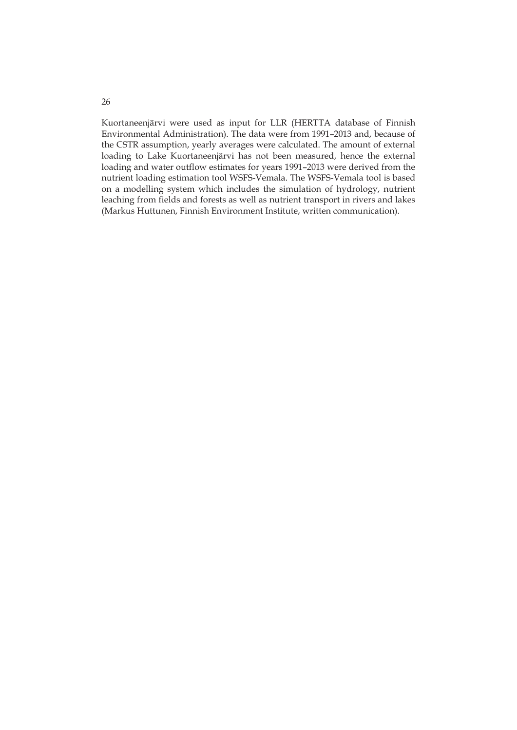Kuortaneenjärvi were used as input for LLR (HERTTA database of Finnish Environmental Administration). The data were from 1991–2013 and, because of the CSTR assumption, yearly averages were calculated. The amount of external loading to Lake Kuortaneenjärvi has not been measured, hence the external loading and water outflow estimates for years 1991–2013 were derived from the nutrient loading estimation tool WSFS-Vemala. The WSFS-Vemala tool is based on a modelling system which includes the simulation of hydrology, nutrient leaching from fields and forests as well as nutrient transport in rivers and lakes (Markus Huttunen, Finnish Environment Institute, written communication).

26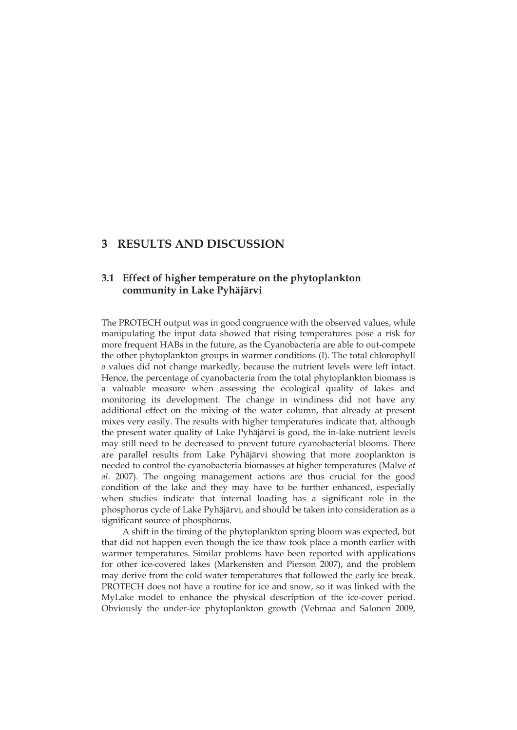## **3 RESULTS AND DISCUSSION**

## **3.1 Effect of higher temperature on the phytoplankton community in Lake Pyhäjärvi**

The PROTECH output was in good congruence with the observed values, while manipulating the input data showed that rising temperatures pose a risk for more frequent HABs in the future, as the Cyanobacteria are able to out-compete the other phytoplankton groups in warmer conditions (I). The total chlorophyll *a* values did not change markedly, because the nutrient levels were left intact. Hence, the percentage of cyanobacteria from the total phytoplankton biomass is a valuable measure when assessing the ecological quality of lakes and monitoring its development. The change in windiness did not have any additional effect on the mixing of the water column, that already at present mixes very easily. The results with higher temperatures indicate that, although the present water quality of Lake Pyhäjärvi is good, the in-lake nutrient levels may still need to be decreased to prevent future cyanobacterial blooms. There are parallel results from Lake Pyhäjärvi showing that more zooplankton is needed to control the cyanobacteria biomasses at higher temperatures (Malve *et al*. 2007). The ongoing management actions are thus crucial for the good condition of the lake and they may have to be further enhanced, especially when studies indicate that internal loading has a significant role in the phosphorus cycle of Lake Pyhäjärvi, and should be taken into consideration as a significant source of phosphorus.

A shift in the timing of the phytoplankton spring bloom was expected, but that did not happen even though the ice thaw took place a month earlier with warmer temperatures. Similar problems have been reported with applications for other ice-covered lakes (Markensten and Pierson 2007), and the problem may derive from the cold water temperatures that followed the early ice break. PROTECH does not have a routine for ice and snow, so it was linked with the MyLake model to enhance the physical description of the ice-cover period. Obviously the under-ice phytoplankton growth (Vehmaa and Salonen 2009,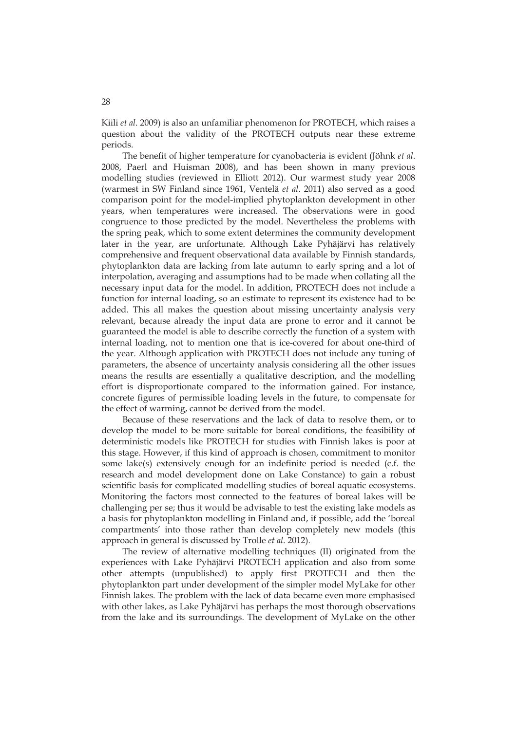Kiili *et al*. 2009) is also an unfamiliar phenomenon for PROTECH, which raises a question about the validity of the PROTECH outputs near these extreme periods.

The benefit of higher temperature for cyanobacteria is evident (Jöhnk *et al*. 2008, Paerl and Huisman 2008), and has been shown in many previous modelling studies (reviewed in Elliott 2012). Our warmest study year 2008 (warmest in SW Finland since 1961, Ventelä *et al*. 2011) also served as a good comparison point for the model-implied phytoplankton development in other years, when temperatures were increased. The observations were in good congruence to those predicted by the model. Nevertheless the problems with the spring peak, which to some extent determines the community development later in the year, are unfortunate. Although Lake Pyhäjärvi has relatively comprehensive and frequent observational data available by Finnish standards, phytoplankton data are lacking from late autumn to early spring and a lot of interpolation, averaging and assumptions had to be made when collating all the necessary input data for the model. In addition, PROTECH does not include a function for internal loading, so an estimate to represent its existence had to be added. This all makes the question about missing uncertainty analysis very relevant, because already the input data are prone to error and it cannot be guaranteed the model is able to describe correctly the function of a system with internal loading, not to mention one that is ice-covered for about one-third of the year. Although application with PROTECH does not include any tuning of parameters, the absence of uncertainty analysis considering all the other issues means the results are essentially a qualitative description, and the modelling effort is disproportionate compared to the information gained. For instance, concrete figures of permissible loading levels in the future, to compensate for the effect of warming, cannot be derived from the model.

Because of these reservations and the lack of data to resolve them, or to develop the model to be more suitable for boreal conditions, the feasibility of deterministic models like PROTECH for studies with Finnish lakes is poor at this stage. However, if this kind of approach is chosen, commitment to monitor some lake(s) extensively enough for an indefinite period is needed (c.f. the research and model development done on Lake Constance) to gain a robust scientific basis for complicated modelling studies of boreal aquatic ecosystems. Monitoring the factors most connected to the features of boreal lakes will be challenging per se; thus it would be advisable to test the existing lake models as a basis for phytoplankton modelling in Finland and, if possible, add the 'boreal compartments' into those rather than develop completely new models (this approach in general is discussed by Trolle *et al*. 2012).

The review of alternative modelling techniques (II) originated from the experiences with Lake Pyhäjärvi PROTECH application and also from some other attempts (unpublished) to apply first PROTECH and then the phytoplankton part under development of the simpler model MyLake for other Finnish lakes. The problem with the lack of data became even more emphasised with other lakes, as Lake Pyhäjärvi has perhaps the most thorough observations from the lake and its surroundings. The development of MyLake on the other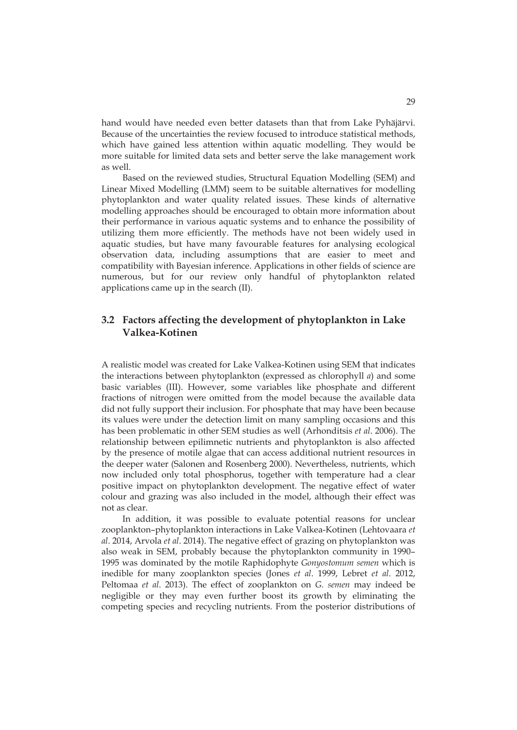hand would have needed even better datasets than that from Lake Pyhäjärvi. Because of the uncertainties the review focused to introduce statistical methods, which have gained less attention within aquatic modelling. They would be more suitable for limited data sets and better serve the lake management work as well.

Based on the reviewed studies, Structural Equation Modelling (SEM) and Linear Mixed Modelling (LMM) seem to be suitable alternatives for modelling phytoplankton and water quality related issues. These kinds of alternative modelling approaches should be encouraged to obtain more information about their performance in various aquatic systems and to enhance the possibility of utilizing them more efficiently. The methods have not been widely used in aquatic studies, but have many favourable features for analysing ecological observation data, including assumptions that are easier to meet and compatibility with Bayesian inference. Applications in other fields of science are numerous, but for our review only handful of phytoplankton related applications came up in the search (II).

## **3.2 Factors affecting the development of phytoplankton in Lake Valkea-Kotinen**

A realistic model was created for Lake Valkea-Kotinen using SEM that indicates the interactions between phytoplankton (expressed as chlorophyll *a*) and some basic variables (III). However, some variables like phosphate and different fractions of nitrogen were omitted from the model because the available data did not fully support their inclusion. For phosphate that may have been because its values were under the detection limit on many sampling occasions and this has been problematic in other SEM studies as well (Arhonditsis *et al*. 2006). The relationship between epilimnetic nutrients and phytoplankton is also affected by the presence of motile algae that can access additional nutrient resources in the deeper water (Salonen and Rosenberg 2000). Nevertheless, nutrients, which now included only total phosphorus, together with temperature had a clear positive impact on phytoplankton development. The negative effect of water colour and grazing was also included in the model, although their effect was not as clear.

In addition, it was possible to evaluate potential reasons for unclear zooplankton–phytoplankton interactions in Lake Valkea-Kotinen (Lehtovaara *et al*. 2014, Arvola *et al*. 2014). The negative effect of grazing on phytoplankton was also weak in SEM, probably because the phytoplankton community in 1990– 1995 was dominated by the motile Raphidophyte *Gonyostomum semen* which is inedible for many zooplankton species (Jones *et al*. 1999, Lebret *et al*. 2012, Peltomaa *et al*. 2013). The effect of zooplankton on *G. semen* may indeed be negligible or they may even further boost its growth by eliminating the competing species and recycling nutrients. From the posterior distributions of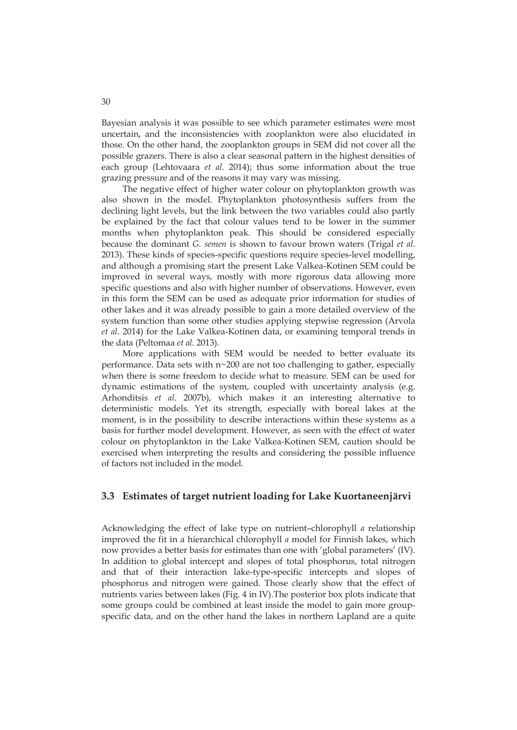Bayesian analysis it was possible to see which parameter estimates were most uncertain, and the inconsistencies with zooplankton were also elucidated in those. On the other hand, the zooplankton groups in SEM did not cover all the possible grazers. There is also a clear seasonal pattern in the highest densities of each group (Lehtovaara *et al*. 2014); thus some information about the true grazing pressure and of the reasons it may vary was missing.

The negative effect of higher water colour on phytoplankton growth was also shown in the model. Phytoplankton photosynthesis suffers from the declining light levels, but the link between the two variables could also partly be explained by the fact that colour values tend to be lower in the summer months when phytoplankton peak. This should be considered especially because the dominant *G. semen* is shown to favour brown waters (Trigal *et al*. 2013). These kinds of species-specific questions require species-level modelling, and although a promising start the present Lake Valkea-Kotinen SEM could be improved in several ways, mostly with more rigorous data allowing more specific questions and also with higher number of observations. However, even in this form the SEM can be used as adequate prior information for studies of other lakes and it was already possible to gain a more detailed overview of the system function than some other studies applying stepwise regression (Arvola *et al*. 2014) for the Lake Valkea-Kotinen data, or examining temporal trends in the data (Peltomaa *et al*. 2013).

More applications with SEM would be needed to better evaluate its performance. Data sets with n~200 are not too challenging to gather, especially when there is some freedom to decide what to measure. SEM can be used for dynamic estimations of the system, coupled with uncertainty analysis (e.g. Arhonditsis *et al*. 2007b), which makes it an interesting alternative to deterministic models. Yet its strength, especially with boreal lakes at the moment, is in the possibility to describe interactions within these systems as a basis for further model development. However, as seen with the effect of water colour on phytoplankton in the Lake Valkea-Kotinen SEM, caution should be exercised when interpreting the results and considering the possible influence of factors not included in the model.

### **3.3 Estimates of target nutrient loading for Lake Kuortaneenjärvi**

Acknowledging the effect of lake type on nutrient–chlorophyll *a* relationship improved the fit in a hierarchical chlorophyll *a* model for Finnish lakes, which now provides a better basis for estimates than one with 'global parameters' (IV). In addition to global intercept and slopes of total phosphorus, total nitrogen and that of their interaction lake-type-specific intercepts and slopes of phosphorus and nitrogen were gained. Those clearly show that the effect of nutrients varies between lakes (Fig. 4 in IV).The posterior box plots indicate that some groups could be combined at least inside the model to gain more groupspecific data, and on the other hand the lakes in northern Lapland are a quite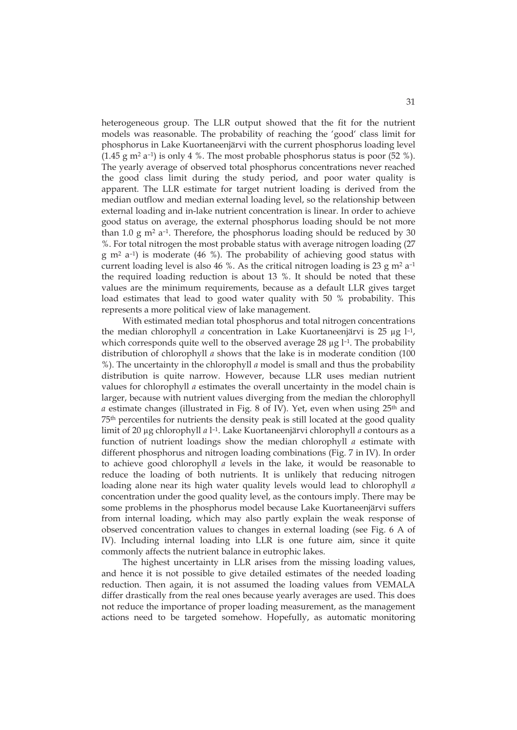heterogeneous group. The LLR output showed that the fit for the nutrient models was reasonable. The probability of reaching the 'good' class limit for phosphorus in Lake Kuortaneenjärvi with the current phosphorus loading level  $(1.45 \text{ g m}^2 \text{ a}^{-1})$  is only 4 %. The most probable phosphorus status is poor  $(52 \text{ %})$ . The yearly average of observed total phosphorus concentrations never reached the good class limit during the study period, and poor water quality is apparent. The LLR estimate for target nutrient loading is derived from the median outflow and median external loading level, so the relationship between external loading and in-lake nutrient concentration is linear. In order to achieve good status on average, the external phosphorus loading should be not more than 1.0 g  $m^2$  a<sup>-1</sup>. Therefore, the phosphorus loading should be reduced by 30 %. For total nitrogen the most probable status with average nitrogen loading (27 g m<sup>2</sup> a<sup>-1</sup>) is moderate (46 %). The probability of achieving good status with current loading level is also 46 %. As the critical nitrogen loading is 23 g  $m^2 a^{-1}$ the required loading reduction is about 13 %. It should be noted that these values are the minimum requirements, because as a default LLR gives target load estimates that lead to good water quality with 50 % probability. This represents a more political view of lake management.

With estimated median total phosphorus and total nitrogen concentrations the median chlorophyll *a* concentration in Lake Kuortaneenjärvi is 25 μg l<sup>-1</sup>, which corresponds quite well to the observed average  $28 \mu g$  l<sup>-1</sup>. The probability distribution of chlorophyll *a* shows that the lake is in moderate condition (100 %). The uncertainty in the chlorophyll *a* model is small and thus the probability distribution is quite narrow. However, because LLR uses median nutrient values for chlorophyll *a* estimates the overall uncertainty in the model chain is larger, because with nutrient values diverging from the median the chlorophyll *a* estimate changes (illustrated in Fig. 8 of IV). Yet, even when using 25<sup>th</sup> and 75th percentiles for nutrients the density peak is still located at the good quality limit of 20 μg chlorophyll *a* l–1. Lake Kuortaneenjärvi chlorophyll *a* contours as a function of nutrient loadings show the median chlorophyll *a* estimate with different phosphorus and nitrogen loading combinations (Fig. 7 in IV). In order to achieve good chlorophyll *a* levels in the lake, it would be reasonable to reduce the loading of both nutrients. It is unlikely that reducing nitrogen loading alone near its high water quality levels would lead to chlorophyll *a* concentration under the good quality level, as the contours imply. There may be some problems in the phosphorus model because Lake Kuortaneenjärvi suffers from internal loading, which may also partly explain the weak response of observed concentration values to changes in external loading (see Fig. 6 A of IV). Including internal loading into LLR is one future aim, since it quite commonly affects the nutrient balance in eutrophic lakes.

The highest uncertainty in LLR arises from the missing loading values, and hence it is not possible to give detailed estimates of the needed loading reduction. Then again, it is not assumed the loading values from VEMALA differ drastically from the real ones because yearly averages are used. This does not reduce the importance of proper loading measurement, as the management actions need to be targeted somehow. Hopefully, as automatic monitoring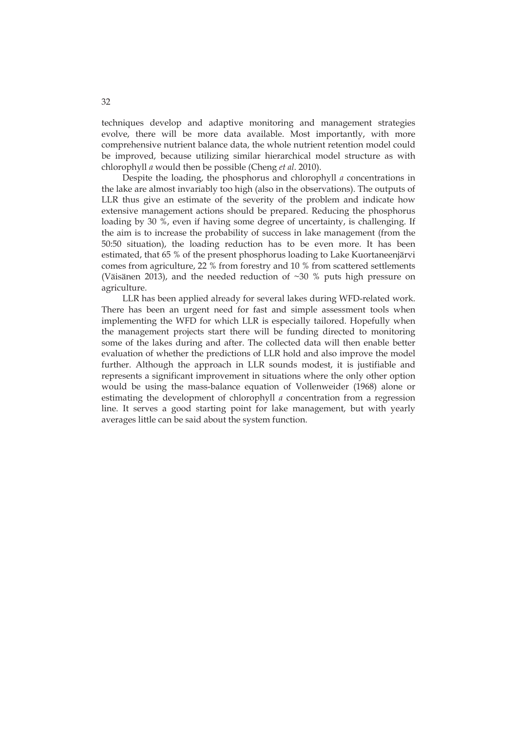techniques develop and adaptive monitoring and management strategies evolve, there will be more data available. Most importantly, with more comprehensive nutrient balance data, the whole nutrient retention model could be improved, because utilizing similar hierarchical model structure as with chlorophyll *a* would then be possible (Cheng *et al*. 2010).

Despite the loading, the phosphorus and chlorophyll *a* concentrations in the lake are almost invariably too high (also in the observations). The outputs of LLR thus give an estimate of the severity of the problem and indicate how extensive management actions should be prepared. Reducing the phosphorus loading by 30 %, even if having some degree of uncertainty, is challenging. If the aim is to increase the probability of success in lake management (from the 50:50 situation), the loading reduction has to be even more. It has been estimated, that 65 % of the present phosphorus loading to Lake Kuortaneenjärvi comes from agriculture, 22 % from forestry and 10 % from scattered settlements (Väisänen 2013), and the needed reduction of ~30 % puts high pressure on agriculture.

LLR has been applied already for several lakes during WFD-related work. There has been an urgent need for fast and simple assessment tools when implementing the WFD for which LLR is especially tailored. Hopefully when the management projects start there will be funding directed to monitoring some of the lakes during and after. The collected data will then enable better evaluation of whether the predictions of LLR hold and also improve the model further. Although the approach in LLR sounds modest, it is justifiable and represents a significant improvement in situations where the only other option would be using the mass-balance equation of Vollenweider (1968) alone or estimating the development of chlorophyll *a* concentration from a regression line. It serves a good starting point for lake management, but with yearly averages little can be said about the system function.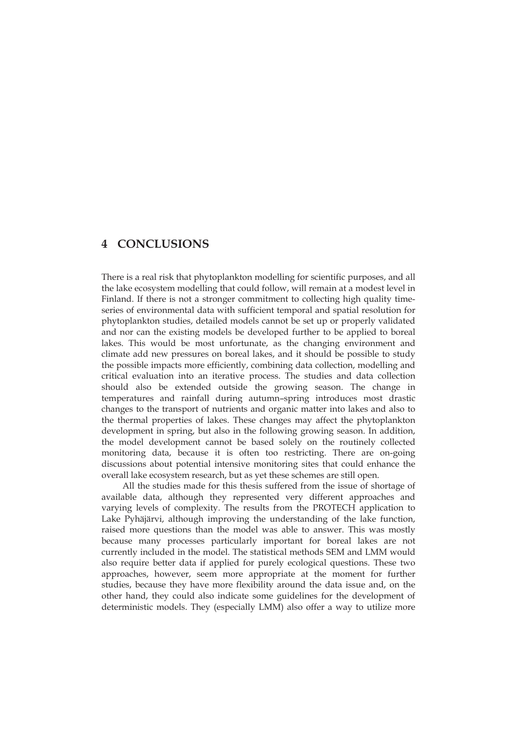# **4 CONCLUSIONS**

There is a real risk that phytoplankton modelling for scientific purposes, and all the lake ecosystem modelling that could follow, will remain at a modest level in Finland. If there is not a stronger commitment to collecting high quality timeseries of environmental data with sufficient temporal and spatial resolution for phytoplankton studies, detailed models cannot be set up or properly validated and nor can the existing models be developed further to be applied to boreal lakes. This would be most unfortunate, as the changing environment and climate add new pressures on boreal lakes, and it should be possible to study the possible impacts more efficiently, combining data collection, modelling and critical evaluation into an iterative process. The studies and data collection should also be extended outside the growing season. The change in temperatures and rainfall during autumn–spring introduces most drastic changes to the transport of nutrients and organic matter into lakes and also to the thermal properties of lakes. These changes may affect the phytoplankton development in spring, but also in the following growing season. In addition, the model development cannot be based solely on the routinely collected monitoring data, because it is often too restricting. There are on-going discussions about potential intensive monitoring sites that could enhance the overall lake ecosystem research, but as yet these schemes are still open.

All the studies made for this thesis suffered from the issue of shortage of available data, although they represented very different approaches and varying levels of complexity. The results from the PROTECH application to Lake Pyhäjärvi, although improving the understanding of the lake function, raised more questions than the model was able to answer. This was mostly because many processes particularly important for boreal lakes are not currently included in the model. The statistical methods SEM and LMM would also require better data if applied for purely ecological questions. These two approaches, however, seem more appropriate at the moment for further studies, because they have more flexibility around the data issue and, on the other hand, they could also indicate some guidelines for the development of deterministic models. They (especially LMM) also offer a way to utilize more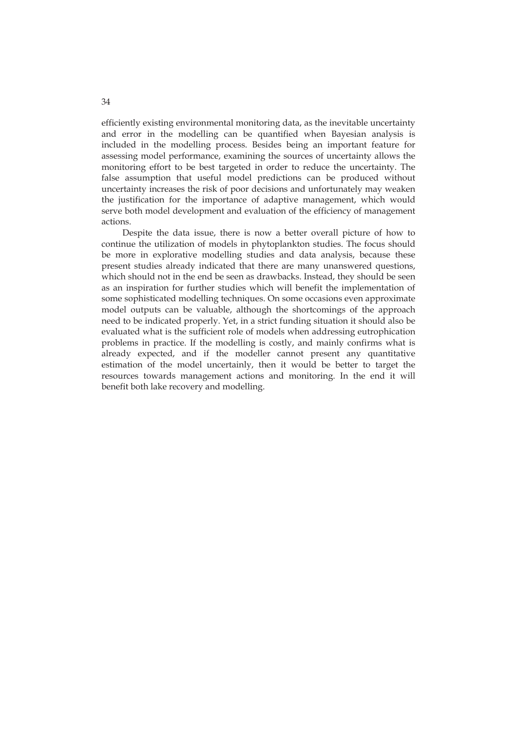efficiently existing environmental monitoring data, as the inevitable uncertainty and error in the modelling can be quantified when Bayesian analysis is included in the modelling process. Besides being an important feature for assessing model performance, examining the sources of uncertainty allows the monitoring effort to be best targeted in order to reduce the uncertainty. The false assumption that useful model predictions can be produced without uncertainty increases the risk of poor decisions and unfortunately may weaken the justification for the importance of adaptive management, which would serve both model development and evaluation of the efficiency of management actions.

Despite the data issue, there is now a better overall picture of how to continue the utilization of models in phytoplankton studies. The focus should be more in explorative modelling studies and data analysis, because these present studies already indicated that there are many unanswered questions, which should not in the end be seen as drawbacks. Instead, they should be seen as an inspiration for further studies which will benefit the implementation of some sophisticated modelling techniques. On some occasions even approximate model outputs can be valuable, although the shortcomings of the approach need to be indicated properly. Yet, in a strict funding situation it should also be evaluated what is the sufficient role of models when addressing eutrophication problems in practice. If the modelling is costly, and mainly confirms what is already expected, and if the modeller cannot present any quantitative estimation of the model uncertainly, then it would be better to target the resources towards management actions and monitoring. In the end it will benefit both lake recovery and modelling.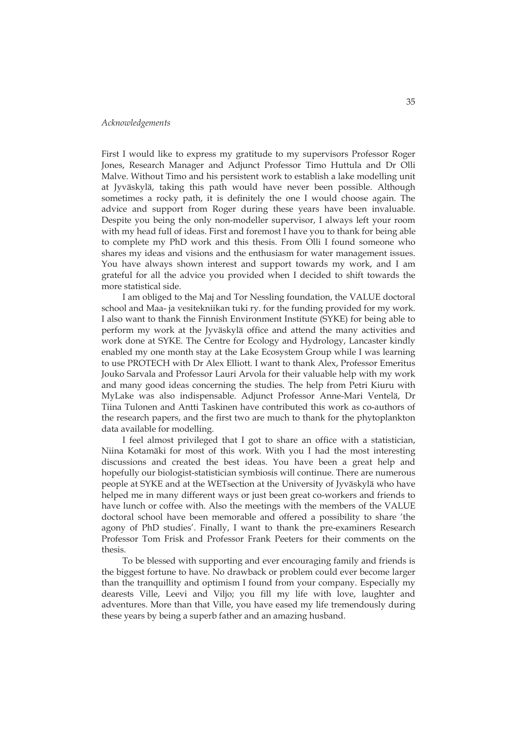#### *Acknowledgements*

First I would like to express my gratitude to my supervisors Professor Roger Jones, Research Manager and Adjunct Professor Timo Huttula and Dr Olli Malve. Without Timo and his persistent work to establish a lake modelling unit at Jyväskylä, taking this path would have never been possible. Although sometimes a rocky path, it is definitely the one I would choose again. The advice and support from Roger during these years have been invaluable. Despite you being the only non-modeller supervisor, I always left your room with my head full of ideas. First and foremost I have you to thank for being able to complete my PhD work and this thesis. From Olli I found someone who shares my ideas and visions and the enthusiasm for water management issues. You have always shown interest and support towards my work, and I am grateful for all the advice you provided when I decided to shift towards the more statistical side.

I am obliged to the Maj and Tor Nessling foundation, the VALUE doctoral school and Maa- ja vesitekniikan tuki ry. for the funding provided for my work. I also want to thank the Finnish Environment Institute (SYKE) for being able to perform my work at the Jyväskylä office and attend the many activities and work done at SYKE. The Centre for Ecology and Hydrology, Lancaster kindly enabled my one month stay at the Lake Ecosystem Group while I was learning to use PROTECH with Dr Alex Elliott. I want to thank Alex, Professor Emeritus Jouko Sarvala and Professor Lauri Arvola for their valuable help with my work and many good ideas concerning the studies. The help from Petri Kiuru with MyLake was also indispensable. Adjunct Professor Anne-Mari Ventelä, Dr Tiina Tulonen and Antti Taskinen have contributed this work as co-authors of the research papers, and the first two are much to thank for the phytoplankton data available for modelling.

I feel almost privileged that I got to share an office with a statistician, Niina Kotamäki for most of this work. With you I had the most interesting discussions and created the best ideas. You have been a great help and hopefully our biologist-statistician symbiosis will continue. There are numerous people at SYKE and at the WETsection at the University of Jyväskylä who have helped me in many different ways or just been great co-workers and friends to have lunch or coffee with. Also the meetings with the members of the VALUE doctoral school have been memorable and offered a possibility to share 'the agony of PhD studies'. Finally, I want to thank the pre-examiners Research Professor Tom Frisk and Professor Frank Peeters for their comments on the thesis.

To be blessed with supporting and ever encouraging family and friends is the biggest fortune to have. No drawback or problem could ever become larger than the tranquillity and optimism I found from your company. Especially my dearests Ville, Leevi and Viljo; you fill my life with love, laughter and adventures. More than that Ville, you have eased my life tremendously during these years by being a superb father and an amazing husband.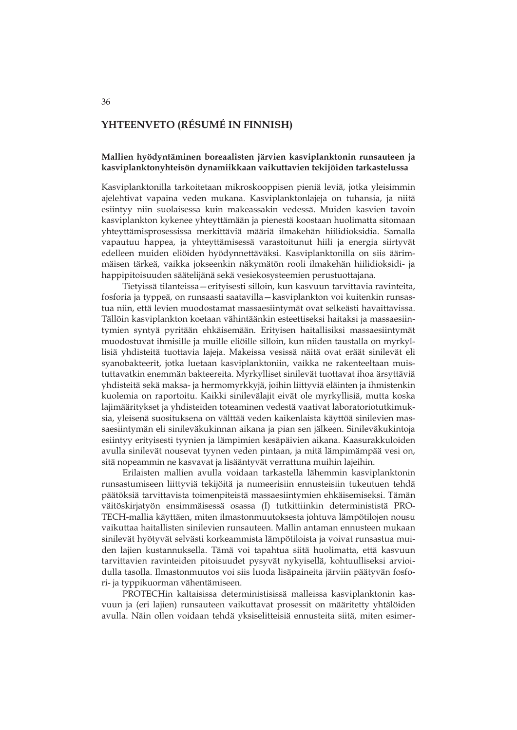## **YHTEENVETO (RÉSUMÉ IN FINNISH)**

#### **Mallien hyödyntäminen boreaalisten järvien kasviplanktonin runsauteen ja kasviplanktonyhteisön dynamiikkaan vaikuttavien tekijöiden tarkastelussa**

Kasviplanktonilla tarkoitetaan mikroskooppisen pieniä leviä, jotka yleisimmin ajelehtivat vapaina veden mukana. Kasviplanktonlajeja on tuhansia, ja niitä esiintyy niin suolaisessa kuin makeassakin vedessä. Muiden kasvien tavoin kasviplankton kykenee yhteyttämään ja pienestä koostaan huolimatta sitomaan yhteyttämisprosessissa merkittäviä määriä ilmakehän hiilidioksidia. Samalla vapautuu happea, ja yhteyttämisessä varastoitunut hiili ja energia siirtyvät edelleen muiden eliöiden hyödynnettäväksi. Kasviplanktonilla on siis äärimmäisen tärkeä, vaikka jokseenkin näkymätön rooli ilmakehän hiilidioksidi- ja happipitoisuuden säätelijänä sekä vesiekosysteemien perustuottajana.

Tietyissä tilanteissa—erityisesti silloin, kun kasvuun tarvittavia ravinteita, fosforia ja typpeä, on runsaasti saatavilla—kasviplankton voi kuitenkin runsastua niin, että levien muodostamat massaesiintymät ovat selkeästi havaittavissa. Tällöin kasviplankton koetaan vähintäänkin esteettiseksi haitaksi ja massaesiintymien syntyä pyritään ehkäisemään. Erityisen haitallisiksi massaesiintymät muodostuvat ihmisille ja muille eliöille silloin, kun niiden taustalla on myrkyllisiä yhdisteitä tuottavia lajeja. Makeissa vesissä näitä ovat eräät sinilevät eli syanobakteerit, jotka luetaan kasviplanktoniin, vaikka ne rakenteeltaan muistuttavatkin enemmän bakteereita. Myrkylliset sinilevät tuottavat ihoa ärsyttäviä yhdisteitä sekä maksa- ja hermomyrkkyjä, joihin liittyviä eläinten ja ihmistenkin kuolemia on raportoitu. Kaikki sinilevälajit eivät ole myrkyllisiä, mutta koska lajimääritykset ja yhdisteiden toteaminen vedestä vaativat laboratoriotutkimuksia, yleisenä suosituksena on välttää veden kaikenlaista käyttöä sinilevien massaesiintymän eli sinileväkukinnan aikana ja pian sen jälkeen. Sinileväkukintoja esiintyy erityisesti tyynien ja lämpimien kesäpäivien aikana. Kaasurakkuloiden avulla sinilevät nousevat tyynen veden pintaan, ja mitä lämpimämpää vesi on, sitä nopeammin ne kasvavat ja lisääntyvät verrattuna muihin lajeihin.

Erilaisten mallien avulla voidaan tarkastella lähemmin kasviplanktonin runsastumiseen liittyviä tekijöitä ja numeerisiin ennusteisiin tukeutuen tehdä päätöksiä tarvittavista toimenpiteistä massaesiintymien ehkäisemiseksi. Tämän väitöskirjatyön ensimmäisessä osassa (I) tutkittiinkin determinististä PRO-TECH-mallia käyttäen, miten ilmastonmuutoksesta johtuva lämpötilojen nousu vaikuttaa haitallisten sinilevien runsauteen. Mallin antaman ennusteen mukaan sinilevät hyötyvät selvästi korkeammista lämpötiloista ja voivat runsastua muiden lajien kustannuksella. Tämä voi tapahtua siitä huolimatta, että kasvuun tarvittavien ravinteiden pitoisuudet pysyvät nykyisellä, kohtuulliseksi arvioidulla tasolla. Ilmastonmuutos voi siis luoda lisäpaineita järviin päätyvän fosfori- ja typpikuorman vähentämiseen.

PROTECHin kaltaisissa deterministisissä malleissa kasviplanktonin kasvuun ja (eri lajien) runsauteen vaikuttavat prosessit on määritetty yhtälöiden avulla. Näin ollen voidaan tehdä yksiselitteisiä ennusteita siitä, miten esimer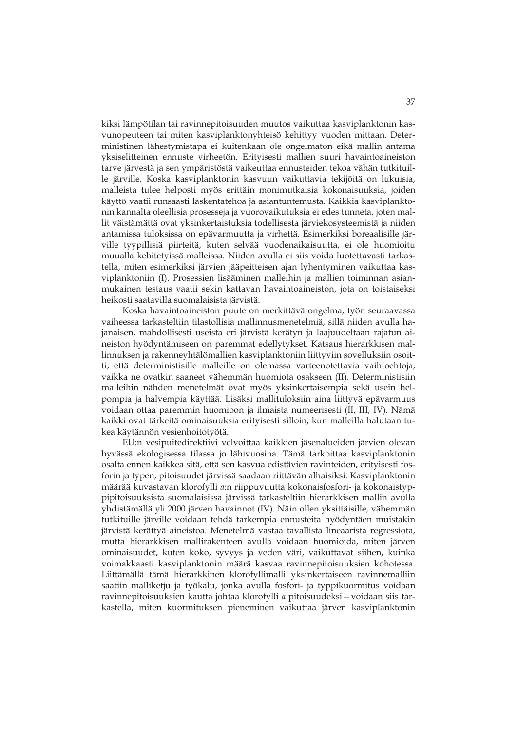kiksi lämpötilan tai ravinnepitoisuuden muutos vaikuttaa kasviplanktonin kasvunopeuteen tai miten kasviplanktonyhteisö kehittyy vuoden mittaan. Deterministinen lähestymistapa ei kuitenkaan ole ongelmaton eikä mallin antama yksiselitteinen ennuste virheetön. Erityisesti mallien suuri havaintoaineiston tarve järvestä ja sen ympäristöstä vaikeuttaa ennusteiden tekoa vähän tutkituille järville. Koska kasviplanktonin kasvuun vaikuttavia tekijöitä on lukuisia, malleista tulee helposti myös erittäin monimutkaisia kokonaisuuksia, joiden käyttö vaatii runsaasti laskentatehoa ja asiantuntemusta. Kaikkia kasviplanktonin kannalta oleellisia prosesseja ja vuorovaikutuksia ei edes tunneta, joten mallit väistämättä ovat yksinkertaistuksia todellisesta järviekosysteemistä ja niiden antamissa tuloksissa on epävarmuutta ja virhettä. Esimerkiksi boreaalisille järville tyypillisiä piirteitä, kuten selvää vuodenaikaisuutta, ei ole huomioitu muualla kehitetyissä malleissa. Niiden avulla ei siis voida luotettavasti tarkastella, miten esimerkiksi järvien jääpeitteisen ajan lyhentyminen vaikuttaa kasviplanktoniin (I). Prosessien lisääminen malleihin ja mallien toiminnan asianmukainen testaus vaatii sekin kattavan havaintoaineiston, jota on toistaiseksi heikosti saatavilla suomalaisista järvistä.

Koska havaintoaineiston puute on merkittävä ongelma, työn seuraavassa vaiheessa tarkasteltiin tilastollisia mallinnusmenetelmiä, sillä niiden avulla hajanaisen, mahdollisesti useista eri järvistä kerätyn ja laajuudeltaan rajatun aineiston hyödyntämiseen on paremmat edellytykset. Katsaus hierarkkisen mallinnuksen ja rakenneyhtälömallien kasviplanktoniin liittyviin sovelluksiin osoitti, että deterministisille malleille on olemassa varteenotettavia vaihtoehtoja, vaikka ne ovatkin saaneet vähemmän huomiota osakseen (II). Deterministisiin malleihin nähden menetelmät ovat myös yksinkertaisempia sekä usein helpompia ja halvempia käyttää. Lisäksi mallituloksiin aina liittyvä epävarmuus voidaan ottaa paremmin huomioon ja ilmaista numeerisesti (II, III, IV). Nämä kaikki ovat tärkeitä ominaisuuksia erityisesti silloin, kun malleilla halutaan tukea käytännön vesienhoitotyötä.

EU:n vesipuitedirektiivi velvoittaa kaikkien jäsenalueiden järvien olevan hyvässä ekologisessa tilassa jo lähivuosina. Tämä tarkoittaa kasviplanktonin osalta ennen kaikkea sitä, että sen kasvua edistävien ravinteiden, erityisesti fosforin ja typen, pitoisuudet järvissä saadaan riittävän alhaisiksi. Kasviplanktonin määrää kuvastavan klorofylli *a*:n riippuvuutta kokonaisfosfori- ja kokonaistyppipitoisuuksista suomalaisissa järvissä tarkasteltiin hierarkkisen mallin avulla yhdistämällä yli 2000 järven havainnot (IV). Näin ollen yksittäisille, vähemmän tutkituille järville voidaan tehdä tarkempia ennusteita hyödyntäen muistakin järvistä kerättyä aineistoa. Menetelmä vastaa tavallista lineaarista regressiota, mutta hierarkkisen mallirakenteen avulla voidaan huomioida, miten järven ominaisuudet, kuten koko, syvyys ja veden väri, vaikuttavat siihen, kuinka voimakkaasti kasviplanktonin määrä kasvaa ravinnepitoisuuksien kohotessa. Liittämällä tämä hierarkkinen klorofyllimalli yksinkertaiseen ravinnemalliin saatiin malliketju ja työkalu, jonka avulla fosfori- ja typpikuormitus voidaan ravinnepitoisuuksien kautta johtaa klorofylli *a* pitoisuudeksi—voidaan siis tarkastella, miten kuormituksen pieneminen vaikuttaa järven kasviplanktonin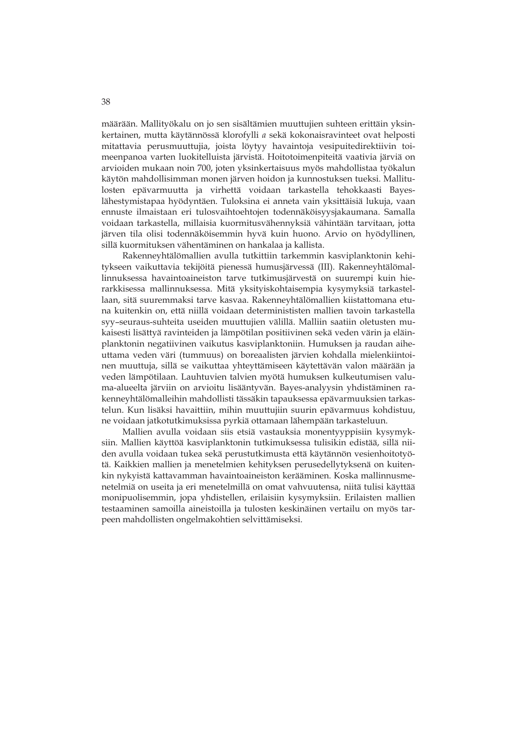määrään. Mallityökalu on jo sen sisältämien muuttujien suhteen erittäin yksinkertainen, mutta käytännössä klorofylli *a* sekä kokonaisravinteet ovat helposti mitattavia perusmuuttujia, joista löytyy havaintoja vesipuitedirektiivin toimeenpanoa varten luokitelluista järvistä. Hoitotoimenpiteitä vaativia järviä on arvioiden mukaan noin 700, joten yksinkertaisuus myös mahdollistaa työkalun käytön mahdollisimman monen järven hoidon ja kunnostuksen tueksi. Mallitulosten epävarmuutta ja virhettä voidaan tarkastella tehokkaasti Bayeslähestymistapaa hyödyntäen. Tuloksina ei anneta vain yksittäisiä lukuja, vaan ennuste ilmaistaan eri tulosvaihtoehtojen todennäköisyysjakaumana. Samalla voidaan tarkastella, millaisia kuormitusvähennyksiä vähintään tarvitaan, jotta järven tila olisi todennäköisemmin hyvä kuin huono. Arvio on hyödyllinen, sillä kuormituksen vähentäminen on hankalaa ja kallista.

Rakenneyhtälömallien avulla tutkittiin tarkemmin kasviplanktonin kehitykseen vaikuttavia tekijöitä pienessä humusjärvessä (III). Rakenneyhtälömallinnuksessa havaintoaineiston tarve tutkimusjärvestä on suurempi kuin hierarkkisessa mallinnuksessa. Mitä yksityiskohtaisempia kysymyksiä tarkastellaan, sitä suuremmaksi tarve kasvaa. Rakenneyhtälömallien kiistattomana etuna kuitenkin on, että niillä voidaan determinististen mallien tavoin tarkastella syy–seuraus-suhteita useiden muuttujien välillä. Malliin saatiin oletusten mukaisesti lisättyä ravinteiden ja lämpötilan positiivinen sekä veden värin ja eläinplanktonin negatiivinen vaikutus kasviplanktoniin. Humuksen ja raudan aiheuttama veden väri (tummuus) on boreaalisten järvien kohdalla mielenkiintoinen muuttuja, sillä se vaikuttaa yhteyttämiseen käytettävän valon määrään ja veden lämpötilaan. Lauhtuvien talvien myötä humuksen kulkeutumisen valuma-alueelta järviin on arvioitu lisääntyvän. Bayes-analyysin yhdistäminen rakenneyhtälömalleihin mahdollisti tässäkin tapauksessa epävarmuuksien tarkastelun. Kun lisäksi havaittiin, mihin muuttujiin suurin epävarmuus kohdistuu, ne voidaan jatkotutkimuksissa pyrkiä ottamaan lähempään tarkasteluun.

Mallien avulla voidaan siis etsiä vastauksia monentyyppisiin kysymyksiin. Mallien käyttöä kasviplanktonin tutkimuksessa tulisikin edistää, sillä niiden avulla voidaan tukea sekä perustutkimusta että käytännön vesienhoitotyötä. Kaikkien mallien ja menetelmien kehityksen perusedellytyksenä on kuitenkin nykyistä kattavamman havaintoaineiston kerääminen. Koska mallinnusmenetelmiä on useita ja eri menetelmillä on omat vahvuutensa, niitä tulisi käyttää monipuolisemmin, jopa yhdistellen, erilaisiin kysymyksiin. Erilaisten mallien testaaminen samoilla aineistoilla ja tulosten keskinäinen vertailu on myös tarpeen mahdollisten ongelmakohtien selvittämiseksi.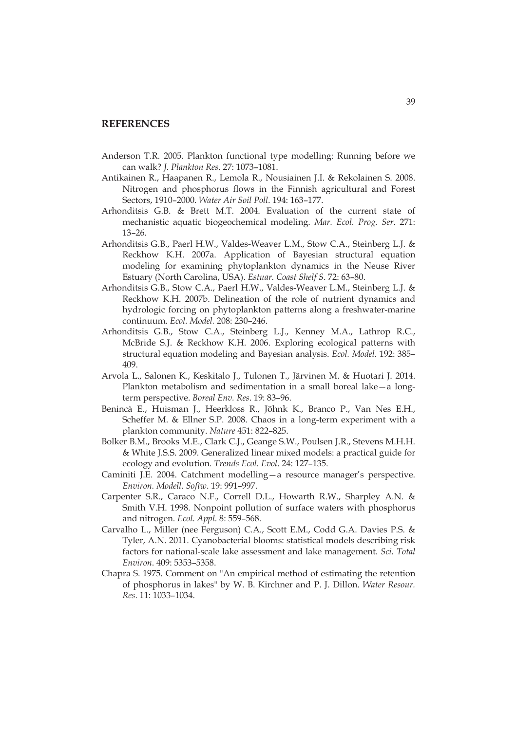#### **REFERENCES**

- Anderson T.R. 2005. Plankton functional type modelling: Running before we can walk? *J. Plankton Res*. 27: 1073–1081.
- Antikainen R., Haapanen R., Lemola R., Nousiainen J.I. & Rekolainen S. 2008. Nitrogen and phosphorus flows in the Finnish agricultural and Forest Sectors, 1910–2000. *Water Air Soil Poll*. 194: 163–177.
- Arhonditsis G.B. & Brett M.T. 2004. Evaluation of the current state of mechanistic aquatic biogeochemical modeling. *Mar. Ecol. Prog. Ser*. 271: 13–26.
- Arhonditsis G.B., Paerl H.W., Valdes-Weaver L.M., Stow C.A., Steinberg L.J. & Reckhow K.H. 2007a. Application of Bayesian structural equation modeling for examining phytoplankton dynamics in the Neuse River Estuary (North Carolina, USA). *Estuar. Coast Shelf S*. 72: 63–80.
- Arhonditsis G.B., Stow C.A., Paerl H.W., Valdes-Weaver L.M., Steinberg L.J. & Reckhow K.H. 2007b. Delineation of the role of nutrient dynamics and hydrologic forcing on phytoplankton patterns along a freshwater-marine continuum. *Ecol. Model.* 208: 230–246.
- Arhonditsis G.B., Stow C.A., Steinberg L.J., Kenney M.A., Lathrop R.C., McBride S.J. & Reckhow K.H. 2006. Exploring ecological patterns with structural equation modeling and Bayesian analysis. *Ecol. Model.* 192: 385– 409.
- Arvola L., Salonen K., Keskitalo J., Tulonen T., Järvinen M. & Huotari J. 2014. Plankton metabolism and sedimentation in a small boreal lake—a longterm perspective. *Boreal Env. Res*. 19: 83–96.
- Benincà E., Huisman J., Heerkloss R., Jöhnk K., Branco P., Van Nes E.H., Scheffer M. & Ellner S.P. 2008. Chaos in a long-term experiment with a plankton community. *Nature* 451: 822–825.
- Bolker B.M., Brooks M.E., Clark C.J., Geange S.W., Poulsen J.R., Stevens M.H.H. & White J.S.S. 2009. Generalized linear mixed models: a practical guide for ecology and evolution. *Trends Ecol. Evol*. 24: 127–135.
- Caminiti J.E. 2004. Catchment modelling—a resource manager's perspective. *Environ. Modell. Softw*. 19: 991–997.
- Carpenter S.R., Caraco N.F., Correll D.L., Howarth R.W., Sharpley A.N. & Smith V.H. 1998. Nonpoint pollution of surface waters with phosphorus and nitrogen. *Ecol. Appl.* 8: 559–568.
- Carvalho L., Miller (nee Ferguson) C.A., Scott E.M., Codd G.A. Davies P.S. & Tyler, A.N. 2011. Cyanobacterial blooms: statistical models describing risk factors for national-scale lake assessment and lake management. *Sci. Total Environ*. 409: 5353–5358.
- Chapra S. 1975. Comment on "An empirical method of estimating the retention of phosphorus in lakes" by W. B. Kirchner and P. J. Dillon. *Water Resour. Res*. 11: 1033–1034.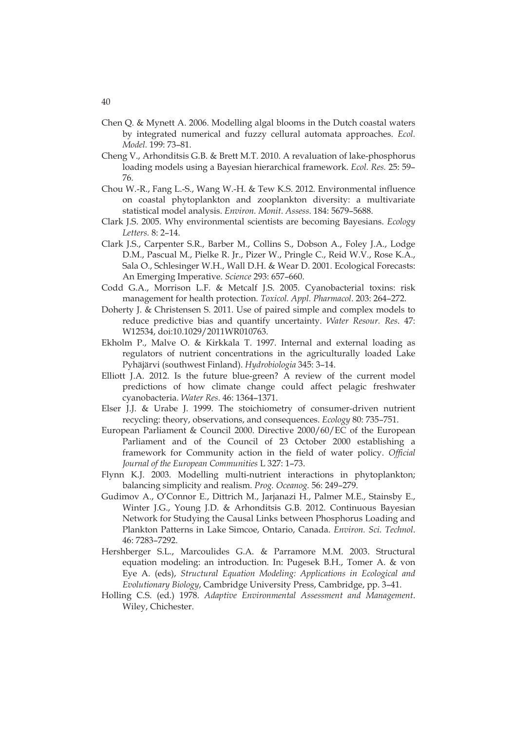- Chen Q. & Mynett A. 2006. Modelling algal blooms in the Dutch coastal waters by integrated numerical and fuzzy cellural automata approaches. *Ecol. Model.* 199: 73–81.
- Cheng V., Arhonditsis G.B. & Brett M.T. 2010. A revaluation of lake-phosphorus loading models using a Bayesian hierarchical framework. *Ecol. Res.* 25: 59– 76.
- Chou W.-R., Fang L.-S., Wang W.-H. & Tew K.S. 2012. Environmental influence on coastal phytoplankton and zooplankton diversity: a multivariate statistical model analysis. *Environ. Monit. Assess*. 184: 5679–5688.
- Clark J.S. 2005. Why environmental scientists are becoming Bayesians. *Ecology Letters.* 8: 2–14.
- Clark J.S., Carpenter S.R., Barber M., Collins S., Dobson A., Foley J.A., Lodge D.M., Pascual M., Pielke R. Jr., Pizer W., Pringle C., Reid W.V., Rose K.A., Sala O., Schlesinger W.H., Wall D.H. & Wear D. 2001. Ecological Forecasts: An Emerging Imperative. *Science* 293: 657–660.
- Codd G.A., Morrison L.F. & Metcalf J.S. 2005. Cyanobacterial toxins: risk management for health protection. *Toxicol. Appl. Pharmacol*. 203: 264–272.
- Doherty J. & Christensen S. 2011. Use of paired simple and complex models to reduce predictive bias and quantify uncertainty. *Water Resour. Res*. 47: W12534, doi:10.1029/2011WR010763.
- Ekholm P., Malve O. & Kirkkala T. 1997. Internal and external loading as regulators of nutrient concentrations in the agriculturally loaded Lake Pyhäjärvi (southwest Finland). *Hydrobiologia* 345: 3–14.
- Elliott J.A. 2012. Is the future blue-green? A review of the current model predictions of how climate change could affect pelagic freshwater cyanobacteria. *Water Res*. 46: 1364–1371.
- Elser J.J. & Urabe J. 1999. The stoichiometry of consumer-driven nutrient recycling: theory, observations, and consequences. *Ecology* 80: 735–751.
- European Parliament & Council 2000. Directive 2000/60/EC of the European Parliament and of the Council of 23 October 2000 establishing a framework for Community action in the field of water policy. *Official Journal of the European Communities* L 327: 1–73.
- Flynn K.J. 2003. Modelling multi-nutrient interactions in phytoplankton; balancing simplicity and realism. *Prog. Oceanog.* 56: 249–279.
- Gudimov A., O'Connor E., Dittrich M., Jarjanazi H., Palmer M.E., Stainsby E., Winter J.G., Young J.D. & Arhonditsis G.B. 2012. Continuous Bayesian Network for Studying the Causal Links between Phosphorus Loading and Plankton Patterns in Lake Simcoe, Ontario, Canada. *Environ. Sci. Technol*. 46: 7283–7292.
- Hershberger S.L., Marcoulides G.A. & Parramore M.M. 2003. Structural equation modeling: an introduction. In: Pugesek B.H., Tomer A. & von Eye A. (eds), *Structural Equation Modeling: Applications in Ecological and Evolutionary Biology*, Cambridge University Press, Cambridge, pp. 3–41.
- Holling C.S. (ed.) 1978. *Adaptive Environmental Assessment and Management*. Wiley, Chichester.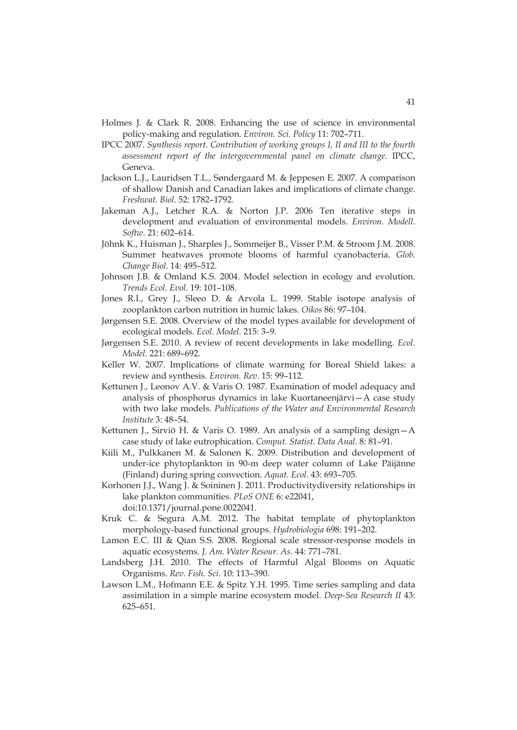- Holmes J. & Clark R. 2008. Enhancing the use of science in environmental policy-making and regulation. *Environ. Sci. Policy* 11: 702–711.
- IPCC 2007. *Synthesis report. Contribution of working groups I, II and III to the fourth assessment report of the intergovernmental panel on climate change*. IPCC, Geneva.
- Jackson L.J., Lauridsen T.L., Søndergaard M. & Jeppesen E. 2007. A comparison of shallow Danish and Canadian lakes and implications of climate change. *Freshwat. Biol*. 52: 1782–1792.
- Jakeman A.J., Letcher R.A. & Norton J.P. 2006 Ten iterative steps in development and evaluation of environmental models. *Environ. Modell. Softw*. 21: 602–614.
- Jöhnk K., Huisman J., Sharples J., Sommeijer B., Visser P.M. & Stroom J.M. 2008. Summer heatwaves promote blooms of harmful cyanobacteria. *Glob. Change Biol*. 14: 495–512.
- Johnson J.B. & Omland K.S. 2004. Model selection in ecology and evolution. *Trends Ecol. Evol*. 19: 101–108.
- Jones R.I., Grey J., Sleeo D. & Arvola L. 1999. Stable isotope analysis of zooplankton carbon nutrition in humic lakes. *Oikos* 86: 97–104.
- Jørgensen S.E. 2008. Overview of the model types available for development of ecological models. *Ecol. Model.* 215: 3–9.
- Jørgensen S.E. 2010. A review of recent developments in lake modelling. *Ecol. Model.* 221: 689–692.
- Keller W. 2007. Implications of climate warming for Boreal Shield lakes: a review and synthesis. *Environ. Rev.* 15: 99–112.
- Kettunen J., Leonov A.V. & Varis O. 1987. Examination of model adequacy and analysis of phosphorus dynamics in lake Kuortaneenjärvi—A case study with two lake models. *Publications of the Water and Environmental Research Institute* 3: 48–54.
- Kettunen J., Sirviö H. & Varis O. 1989. An analysis of a sampling design—A case study of lake eutrophication. *Comput. Statist. Data Anal.* 8: 81–91.
- Kiili M., Pulkkanen M. & Salonen K. 2009. Distribution and development of under-ice phytoplankton in 90-m deep water column of Lake Päijänne (Finland) during spring convection. *Aquat. Ecol*. 43: 693–705.
- Korhonen J.J., Wang J. & Soininen J. 2011. Productivitydiversity relationships in lake plankton communities. *PLoS ONE* 6: e22041, doi:10.1371/journal.pone.0022041.
- Kruk C. & Segura A.M. 2012. The habitat template of phytoplankton morphology-based functional groups. *Hydrobiologia* 698: 191–202.
- Lamon E.C. III & Qian S.S. 2008. Regional scale stressor-response models in aquatic ecosystems. *J. Am. Water Resour. As.* 44: 771–781.
- Landsberg J.H. 2010. The effects of Harmful Algal Blooms on Aquatic Organisms. *Rev. Fish. Sci*. 10: 113–390.
- Lawson L.M., Hofmann E.E. & Spitz Y.H. 1995. Time series sampling and data assimilation in a simple marine ecosystem model. *Deep-Sea Research II* 43: 625–651.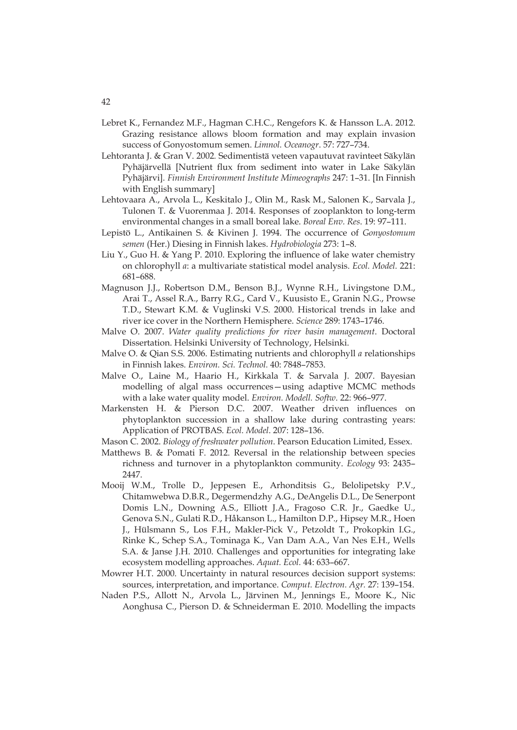- Lebret K., Fernandez M.F., Hagman C.H.C., Rengefors K. & Hansson L.A. 2012. Grazing resistance allows bloom formation and may explain invasion success of Gonyostomum semen. *Limnol. Oceanogr*. 57: 727–734.
- Lehtoranta J. & Gran V. 2002*.* Sedimentistä veteen vapautuvat ravinteet Säkylän Pyhäjärvellä [Nutrient flux from sediment into water in Lake Säkylän Pyhäjärvi]. *Finnish Environment Institute Mimeographs* 247: 1–31. [In Finnish with English summary]
- Lehtovaara A., Arvola L., Keskitalo J., Olin M., Rask M., Salonen K., Sarvala J., Tulonen T. & Vuorenmaa J. 2014. Responses of zooplankton to long-term environmental changes in a small boreal lake. *Boreal Env. Res*. 19: 97–111.
- Lepistö L., Antikainen S. & Kivinen J. 1994. The occurrence of *Gonyostomum semen* (Her.) Diesing in Finnish lakes. *Hydrobiologia* 273: 1–8.
- Liu Y., Guo H. & Yang P. 2010. Exploring the influence of lake water chemistry on chlorophyll *a*: a multivariate statistical model analysis. *Ecol. Model.* 221: 681–688.
- Magnuson J.J., Robertson D.M., Benson B.J., Wynne R.H., Livingstone D.M., Arai T., Assel R.A., Barry R.G., Card V., Kuusisto E., Granin N.G., Prowse T.D., Stewart K.M. & Vuglinski V.S. 2000. Historical trends in lake and river ice cover in the Northern Hemisphere. *Science* 289: 1743–1746.
- Malve O. 2007. *Water quality predictions for river basin management*. Doctoral Dissertation. Helsinki University of Technology, Helsinki.
- Malve O. & Qian S.S. 2006. Estimating nutrients and chlorophyll *a* relationships in Finnish lakes. *Environ. Sci. Technol.* 40: 7848–7853.
- Malve O., Laine M., Haario H., Kirkkala T. & Sarvala J. 2007. Bayesian modelling of algal mass occurrences—using adaptive MCMC methods with a lake water quality model. *Environ. Modell. Softw*. 22: 966–977.
- Markensten H. & Pierson D.C. 2007. Weather driven influences on phytoplankton succession in a shallow lake during contrasting years: Application of PROTBAS. *Ecol. Model*. 207: 128–136.
- Mason C. 2002. *Biology of freshwater pollution*. Pearson Education Limited, Essex.
- Matthews B. & Pomati F. 2012. Reversal in the relationship between species richness and turnover in a phytoplankton community. *Ecology* 93: 2435– 2447.
- Mooij W.M., Trolle D., Jeppesen E., Arhonditsis G., Belolipetsky P.V., Chitamwebwa D.B.R., Degermendzhy A.G., DeAngelis D.L., De Senerpont Domis L.N., Downing A.S., Elliott J.A., Fragoso C.R. Jr., Gaedke U., Genova S.N., Gulati R.D., Håkanson L., Hamilton D.P., Hipsey M.R., Hoen J., Hülsmann S., Los F.H., Makler-Pick V., Petzoldt T., Prokopkin I.G., Rinke K., Schep S.A., Tominaga K., Van Dam A.A., Van Nes E.H., Wells S.A. & Janse J.H. 2010. Challenges and opportunities for integrating lake ecosystem modelling approaches. *Aquat. Ecol.* 44: 633–667.
- Mowrer H.T. 2000. Uncertainty in natural resources decision support systems: sources, interpretation, and importance. *Comput. Electron. Agr.* 27: 139–154.
- Naden P.S., Allott N., Arvola L., Järvinen M., Jennings E., Moore K., Nic Aonghusa C., Pierson D. & Schneiderman E. 2010. Modelling the impacts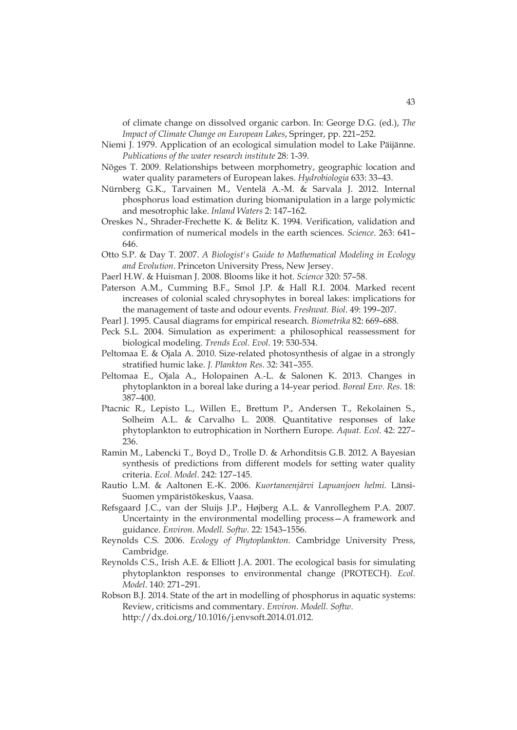of climate change on dissolved organic carbon. In: George D.G. (ed.), *The Impact of Climate Change on European Lakes*, Springer, pp. 221–252.

- Niemi J. 1979. Application of an ecological simulation model to Lake Päijänne. *Publications of the water research institute* 28: 1-39.
- Nõges T. 2009. Relationships between morphometry, geographic location and water quality parameters of European lakes. *Hydrobiologia* 633: 33–43.
- Nürnberg G.K., Tarvainen M., Ventelä A.-M. & Sarvala J. 2012. Internal phosphorus load estimation during biomanipulation in a large polymictic and mesotrophic lake. *Inland Waters* 2: 147–162.
- Oreskes N., Shrader-Frechette K. & Belitz K. 1994. Verification, validation and confirmation of numerical models in the earth sciences. *Science*. 263: 641– 646.
- Otto S.P. & Day T. 2007. *A Biologist's Guide to Mathematical Modeling in Ecology and Evolution*. Princeton University Press, New Jersey.
- Paerl H.W. & Huisman J. 2008. Blooms like it hot. *Science* 320: 57–58.
- Paterson A.M., Cumming B.F., Smol J.P. & Hall R.I. 2004. Marked recent increases of colonial scaled chrysophytes in boreal lakes: implications for the management of taste and odour events. *Freshwat. Biol*. 49: 199–207.
- Pearl J. 1995. Causal diagrams for empirical research. *Biometrika* 82: 669–688.
- Peck S.L. 2004. Simulation as experiment: a philosophical reassessment for biological modeling. *Trends Ecol. Evol*. 19: 530-534.
- Peltomaa E. & Ojala A. 2010. Size-related photosynthesis of algae in a strongly stratified humic lake. *J. Plankton Res*. 32: 341–355.
- Peltomaa E., Ojala A., Holopainen A.-L. & Salonen K. 2013. Changes in phytoplankton in a boreal lake during a 14-year period. *Boreal Env. Res*. 18: 387–400.
- Ptacnic R., Lepisto L., Willen E., Brettum P., Andersen T., Rekolainen S., Solheim A.L. & Carvalho L. 2008. Quantitative responses of lake phytoplankton to eutrophication in Northern Europe. *Aquat. Ecol.* 42: 227– 236.
- Ramin M., Labencki T., Boyd D., Trolle D. & Arhonditsis G.B. 2012. A Bayesian synthesis of predictions from different models for setting water quality criteria. *Ecol. Model*. 242: 127–145.
- Rautio L.M. & Aaltonen E.-K. 2006. *Kuortaneenjärvi Lapuanjoen helmi*. Länsi-Suomen ympäristökeskus, Vaasa.
- Refsgaard J.C., van der Sluijs J.P., Højberg A.L. & Vanrolleghem P.A. 2007. Uncertainty in the environmental modelling process—A framework and guidance. *Environ. Modell. Softw*. 22: 1543–1556.
- Reynolds C.S. 2006. *Ecology of Phytoplankton*. Cambridge University Press, Cambridge.
- Reynolds C.S., Irish A.E. & Elliott J.A. 2001. The ecological basis for simulating phytoplankton responses to environmental change (PROTECH). *Ecol. Model*. 140: 271–291.
- Robson B.J. 2014. State of the art in modelling of phosphorus in aquatic systems: Review, criticisms and commentary. *Environ. Modell. Softw*. http://dx.doi.org/10.1016/j.envsoft.2014.01.012.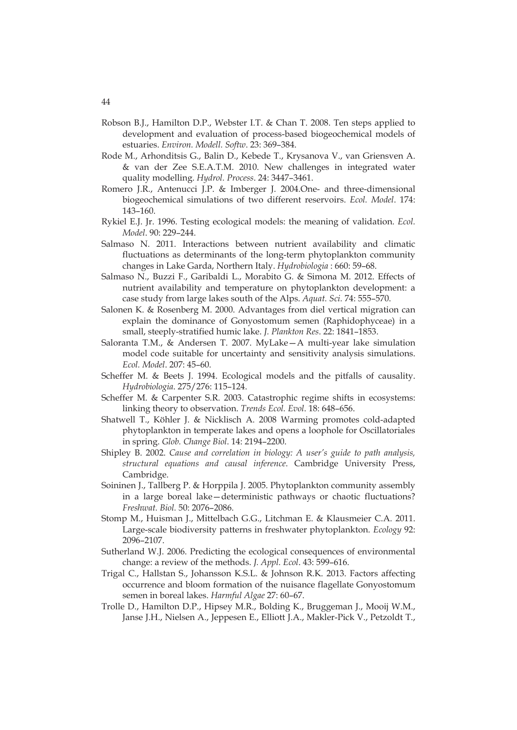- Robson B.J., Hamilton D.P., Webster I.T. & Chan T. 2008. Ten steps applied to development and evaluation of process-based biogeochemical models of estuaries. *Environ. Modell. Softw*. 23: 369–384.
- Rode M., Arhonditsis G., Balin D., Kebede T., Krysanova V., van Griensven A. & van der Zee S.E.A.T.M. 2010. New challenges in integrated water quality modelling. *Hydrol. Process*. 24: 3447–3461.
- Romero J.R., Antenucci J.P. & Imberger J. 2004.One- and three-dimensional biogeochemical simulations of two different reservoirs. *Ecol. Model*. 174: 143–160.
- Rykiel E.J. Jr. 1996. Testing ecological models: the meaning of validation. *Ecol. Model*. 90: 229–244.
- Salmaso N. 2011. Interactions between nutrient availability and climatic fluctuations as determinants of the long-term phytoplankton community changes in Lake Garda, Northern Italy. *Hydrobiologia* : 660: 59–68.
- Salmaso N., Buzzi F., Garibaldi L., Morabito G. & Simona M. 2012. Effects of nutrient availability and temperature on phytoplankton development: a case study from large lakes south of the Alps. *Aquat. Sci.* 74: 555–570.
- Salonen K. & Rosenberg M. 2000. Advantages from diel vertical migration can explain the dominance of Gonyostomum semen (Raphidophyceae) in a small, steeply-stratified humic lake. *J. Plankton Res*. 22: 1841–1853.
- Saloranta T.M., & Andersen T. 2007. MyLake—A multi-year lake simulation model code suitable for uncertainty and sensitivity analysis simulations. *Ecol. Model*. 207: 45–60.
- Scheffer M. & Beets J. 1994. Ecological models and the pitfalls of causality. *Hydrobiologia*. 275/276: 115–124.
- Scheffer M. & Carpenter S.R. 2003. Catastrophic regime shifts in ecosystems: linking theory to observation. *Trends Ecol. Evol*. 18: 648–656.
- Shatwell T., Köhler J. & Nicklisch A. 2008 Warming promotes cold-adapted phytoplankton in temperate lakes and opens a loophole for Oscillatoriales in spring. *Glob. Change Biol*. 14: 2194–2200.
- Shipley B. 2002. *Cause and correlation in biology: A user's guide to path analysis, structural equations and causal inference*. Cambridge University Press, Cambridge.
- Soininen J., Tallberg P. & Horppila J. 2005. Phytoplankton community assembly in a large boreal lake—deterministic pathways or chaotic fluctuations? *Freshwat. Biol.* 50: 2076–2086.
- Stomp M., Huisman J., Mittelbach G.G., Litchman E. & Klausmeier C.A. 2011. Large-scale biodiversity patterns in freshwater phytoplankton. *Ecology* 92: 2096–2107.
- Sutherland W.J. 2006. Predicting the ecological consequences of environmental change: a review of the methods. *J. Appl. Ecol*. 43: 599–616.
- Trigal C., Hallstan S., Johansson K.S.L. & Johnson R.K. 2013. Factors affecting occurrence and bloom formation of the nuisance flagellate Gonyostomum semen in boreal lakes. *Harmful Algae* 27: 60–67.
- Trolle D., Hamilton D.P., Hipsey M.R., Bolding K., Bruggeman J., Mooij W.M., Janse J.H., Nielsen A., Jeppesen E., Elliott J.A., Makler-Pick V., Petzoldt T.,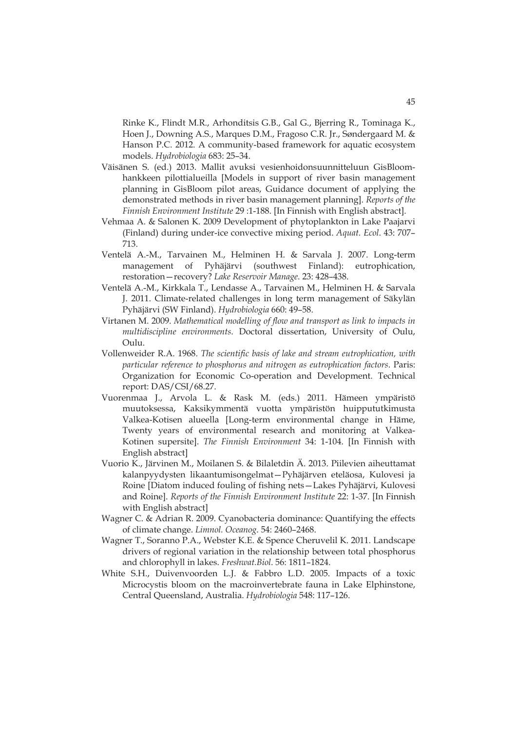Rinke K., Flindt M.R., Arhonditsis G.B., Gal G., Bjerring R., Tominaga K., Hoen J., Downing A.S., Marques D.M., Fragoso C.R. Jr., Søndergaard M. & Hanson P.C. 2012. A community-based framework for aquatic ecosystem models. *Hydrobiologia* 683: 25–34.

- Väisänen S. (ed.) 2013. Mallit avuksi vesienhoidonsuunnitteluun GisBloomhankkeen pilottialueilla [Models in support of river basin management planning in GisBloom pilot areas, Guidance document of applying the demonstrated methods in river basin management planning]. *Reports of the Finnish Environment Institute* 29 :1-188. [In Finnish with English abstract].
- Vehmaa A. & Salonen K. 2009 Development of phytoplankton in Lake Paajarvi (Finland) during under-ice convective mixing period. *Aquat. Ecol*. 43: 707– 713.
- Ventelä A.-M., Tarvainen M., Helminen H. & Sarvala J. 2007. Long-term management of Pyhäjärvi (southwest Finland): eutrophication, restoration—recovery? *Lake Reservoir Manage.* 23: 428–438.
- Ventelä A.-M., Kirkkala T., Lendasse A., Tarvainen M., Helminen H. & Sarvala J. 2011. Climate-related challenges in long term management of Säkylän Pyhäjärvi (SW Finland). *Hydrobiologia* 660: 49–58.
- Virtanen M. 2009. *Mathematical modelling of flow and transport as link to impacts in multidiscipline environments*. Doctoral dissertation, University of Oulu, Oulu.
- Vollenweider R.A. 1968. *The scientific basis of lake and stream eutrophication, with particular reference to phosphorus and nitrogen as eutrophication factors*. Paris: Organization for Economic Co-operation and Development. Technical report: DAS/CSI/68.27.
- Vuorenmaa J., Arvola L. & Rask M. (eds.) 2011. Hämeen ympäristö muutoksessa, Kaksikymmentä vuotta ympäristön huippututkimusta Valkea-Kotisen alueella [Long-term environmental change in Häme, Twenty years of environmental research and monitoring at Valkea-Kotinen supersite]. *The Finnish Environment* 34: 1-104. [In Finnish with English abstract]
- Vuorio K., Järvinen M., Moilanen S. & Bilaletdin Ä. 2013. Piilevien aiheuttamat kalanpyydysten likaantumisongelmat—Pyhäjärven eteläosa, Kulovesi ja Roine [Diatom induced fouling of fishing nets—Lakes Pyhäjärvi, Kulovesi and Roine]. *Reports of the Finnish Environment Institute* 22: 1-37. [In Finnish with English abstract]
- Wagner C. & Adrian R. 2009. Cyanobacteria dominance: Quantifying the effects of climate change. *Limnol. Oceanog*. 54: 2460–2468.
- Wagner T., Soranno P.A., Webster K.E. & Spence Cheruvelil K. 2011. Landscape drivers of regional variation in the relationship between total phosphorus and chlorophyll in lakes. *Freshwat.Biol*. 56: 1811–1824.
- White S.H., Duivenvoorden L.J. & Fabbro L.D. 2005. Impacts of a toxic Microcystis bloom on the macroinvertebrate fauna in Lake Elphinstone, Central Queensland, Australia. *Hydrobiologia* 548: 117–126.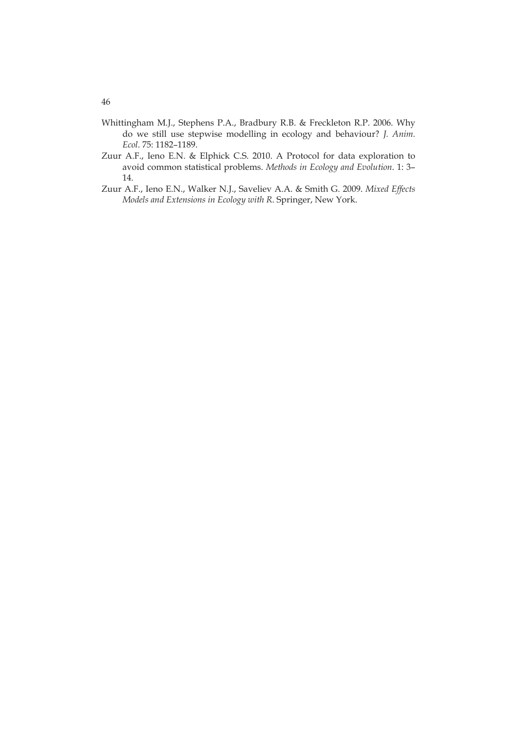- Whittingham M.J., Stephens P.A., Bradbury R.B. & Freckleton R.P. 2006. Why do we still use stepwise modelling in ecology and behaviour? *J. Anim. Ecol*. 75: 1182–1189.
- Zuur A.F., Ieno E.N. & Elphick C.S. 2010. A Protocol for data exploration to avoid common statistical problems. *Methods in Ecology and Evolution*. 1: 3– 14.
- Zuur A.F., Ieno E.N., Walker N.J., Saveliev A.A. & Smith G. 2009. *Mixed Effects Models and Extensions in Ecology with R*. Springer, New York.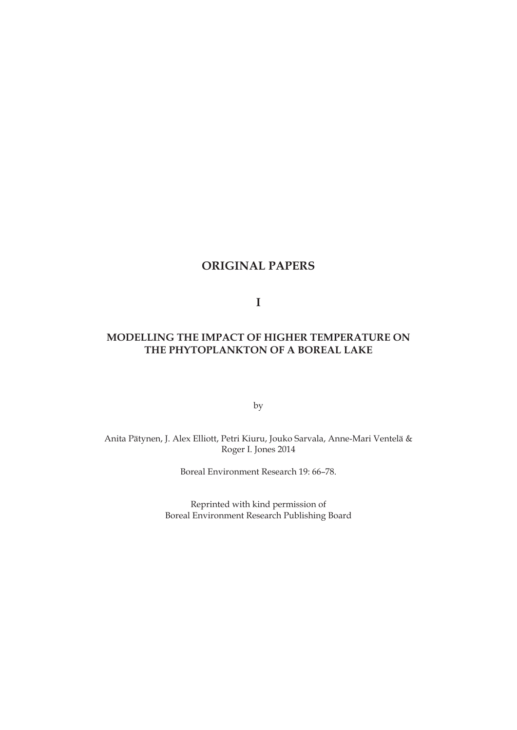# **ORIGINAL PAPERS**

**I** 

## **MODELLING THE IMPACT OF HIGHER TEMPERATURE ON THE PHYTOPLANKTON OF A BOREAL LAKE**

by

Anita Pätynen, J. Alex Elliott, Petri Kiuru, Jouko Sarvala, Anne-Mari Ventelä & Roger I. Jones 2014

Boreal Environment Research 19: 66–78.

Reprinted with kind permission of Boreal Environment Research Publishing Board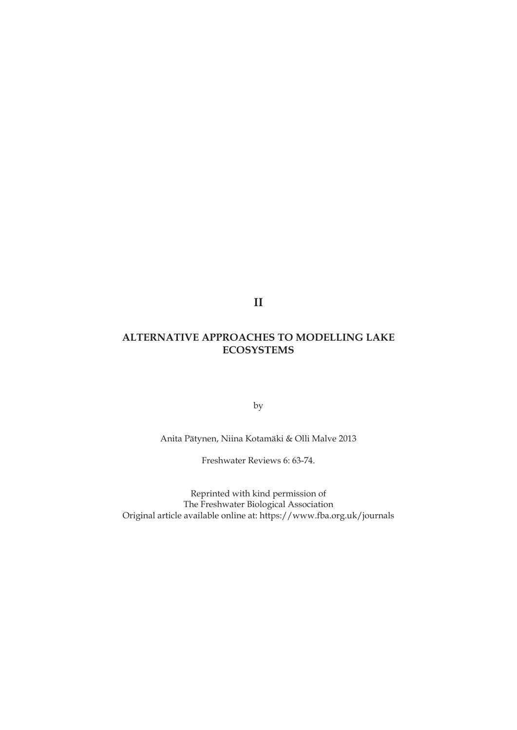**II** 

# **ALTERNATIVE APPROACHES TO MODELLING LAKE ECOSYSTEMS**

by

Anita Pätynen, Niina Kotamäki & Olli Malve 2013

Freshwater Reviews 6: 63-74.

Reprinted with kind permission of The Freshwater Biological Association Original article available online at: https://www.fba.org.uk/journals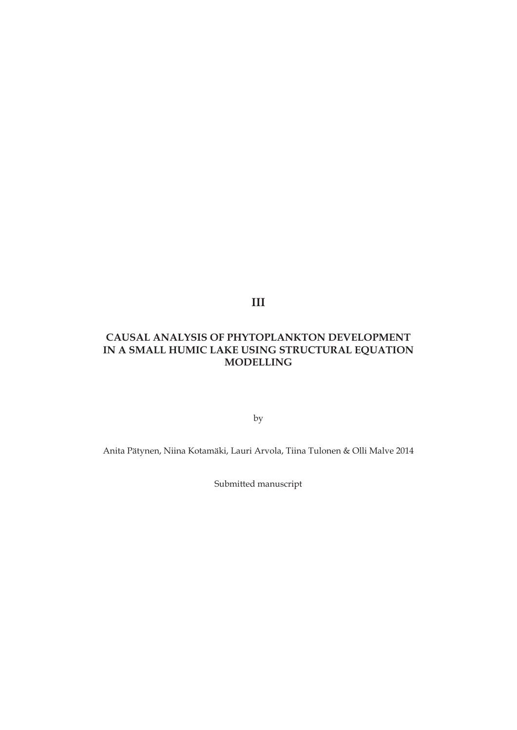**III** 

# **CAUSAL ANALYSIS OF PHYTOPLANKTON DEVELOPMENT IN A SMALL HUMIC LAKE USING STRUCTURAL EQUATION MODELLING**

by

Anita Pätynen, Niina Kotamäki, Lauri Arvola, Tiina Tulonen & Olli Malve 2014

Submitted manuscript